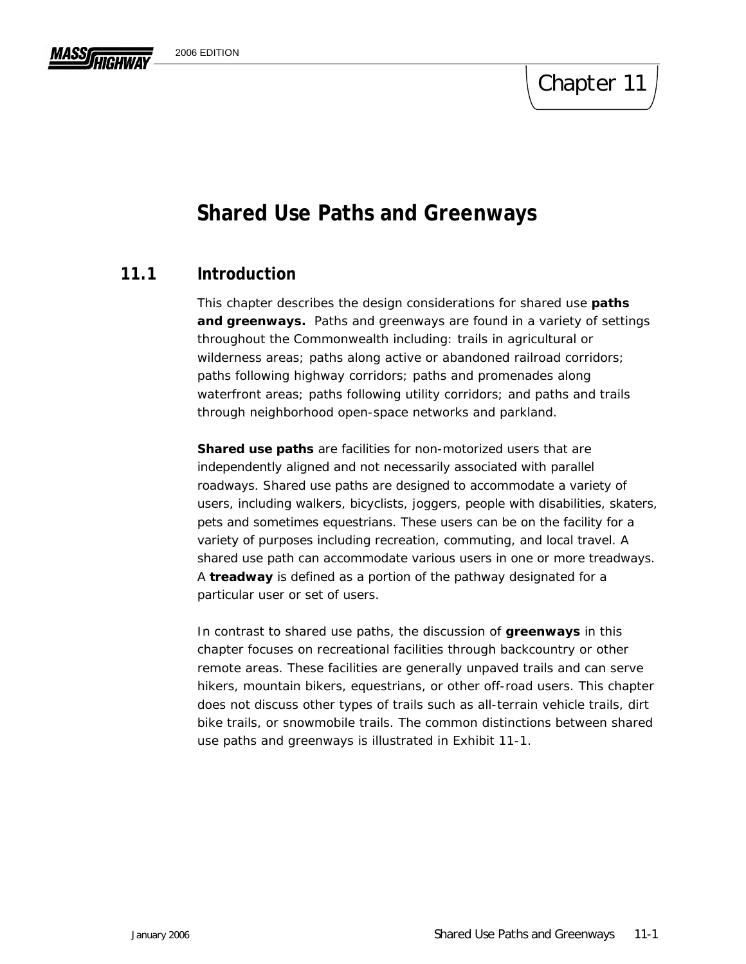# Chapter 11

# **Shared Use Paths and Greenways**

## **11.1 Introduction**

This chapter describes the design considerations for shared use *paths*  and greenways. Paths and greenways are found in a variety of settings throughout the Commonwealth including: trails in agricultural or wilderness areas; paths along active or abandoned railroad corridors; paths following highway corridors; paths and promenades along waterfront areas; paths following utility corridors; and paths and trails through neighborhood open-space networks and parkland.

*Shared use paths* are facilities for non-motorized users that are independently aligned and not necessarily associated with parallel roadways. Shared use paths are designed to accommodate a variety of users, including walkers, bicyclists, joggers, people with disabilities, skaters, pets and sometimes equestrians. These users can be on the facility for a variety of purposes including recreation, commuting, and local travel. A shared use path can accommodate various users in one or more treadways. A *treadway* is defined as a portion of the pathway designated for a particular user or set of users.

In contrast to shared use paths, the discussion of *greenways* in this chapter focuses on recreational facilities through backcountry or other remote areas. These facilities are generally unpaved trails and can serve hikers, mountain bikers, equestrians, or other off-road users. This chapter does not discuss other types of trails such as all-terrain vehicle trails, dirt bike trails, or snowmobile trails. The common distinctions between shared use paths and greenways is illustrated in Exhibit 11-1.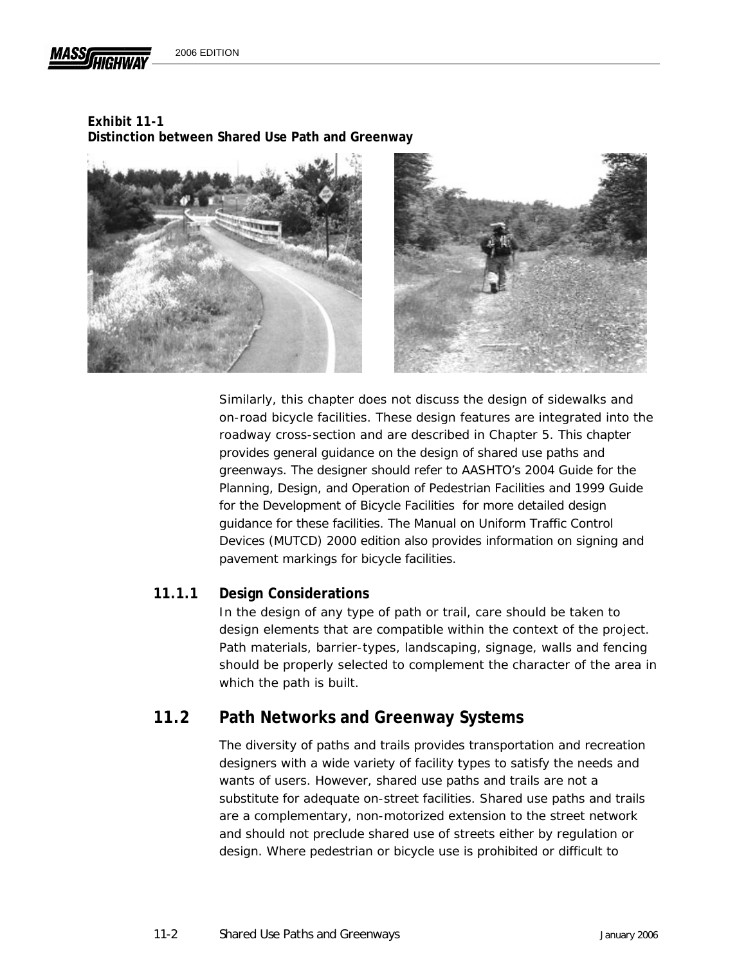

2006 EDITION

## **Exhibit 11-1**

**Distinction between Shared Use Path and Greenway** 





Similarly, this chapter does not discuss the design of sidewalks and on-road bicycle facilities. These design features are integrated into the roadway cross-section and are described in Chapter 5. This chapter provides general guidance on the design of shared use paths and greenways. The designer should refer to AASHTO's 2004 *Guide for the Planning, Design, and Operation of Pedestrian Facilities* and 1999 *Guide for the Development of Bicycle Facilities* for more detailed design guidance for these facilities. The *Manual on Uniform Traffic Control Devices (MUTCD)* 2000 edition also provides information on signing and pavement markings for bicycle facilities.

## **11.1.1 Design Considerations**

In the design of any type of path or trail, care should be taken to design elements that are compatible within the context of the project. Path materials, barrier-types, landscaping, signage, walls and fencing should be properly selected to complement the character of the area in which the path is built.

# **11.2 Path Networks and Greenway Systems**

The diversity of paths and trails provides transportation and recreation designers with a wide variety of facility types to satisfy the needs and wants of users. However, shared use paths and trails are not a substitute for adequate on-street facilities. Shared use paths and trails are a complementary, non-motorized extension to the street network and should not preclude shared use of streets either by regulation or design. Where pedestrian or bicycle use is prohibited or difficult to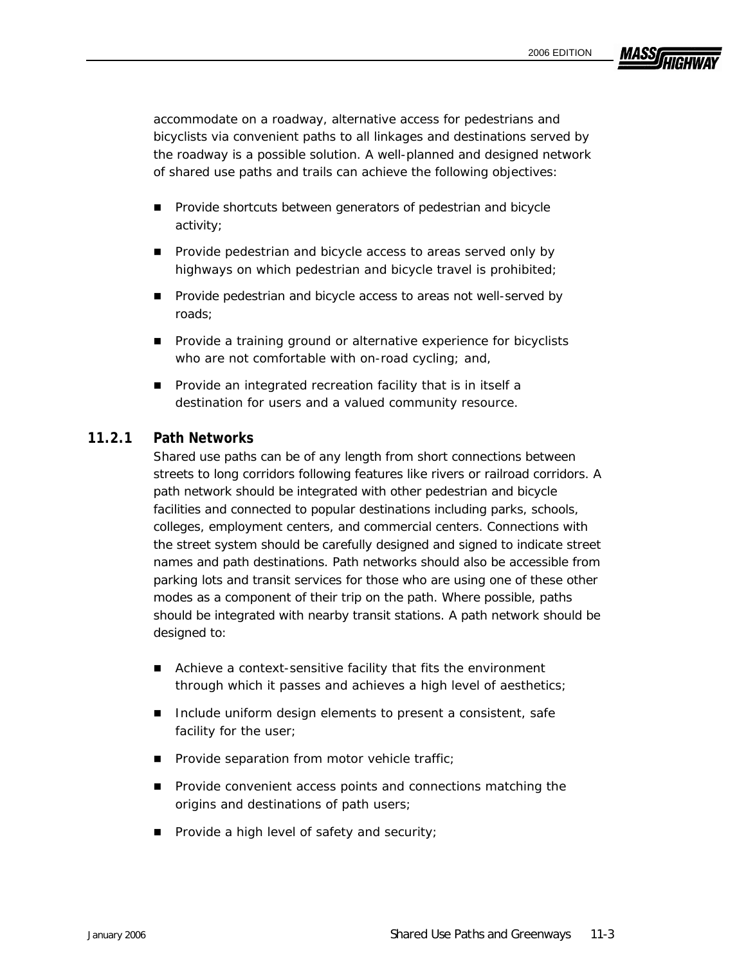**MASSA** 

accommodate on a roadway, alternative access for pedestrians and bicyclists via convenient paths to all linkages and destinations served by the roadway is a possible solution. A well-planned and designed network of shared use paths and trails can achieve the following objectives:

- **Provide shortcuts between generators of pedestrian and bicycle** activity;
- **Provide pedestrian and bicycle access to areas served only by** highways on which pedestrian and bicycle travel is prohibited;
- **Provide pedestrian and bicycle access to areas not well-served by** roads;
- **Provide a training ground or alternative experience for bicyclists** who are not comfortable with on-road cycling; and,
- **Provide an integrated recreation facility that is in itself a** destination for users and a valued community resource.

#### **11.2.1 Path Networks**

Shared use paths can be of any length from short connections between streets to long corridors following features like rivers or railroad corridors. A path network should be integrated with other pedestrian and bicycle facilities and connected to popular destinations including parks, schools, colleges, employment centers, and commercial centers. Connections with the street system should be carefully designed and signed to indicate street names and path destinations. Path networks should also be accessible from parking lots and transit services for those who are using one of these other modes as a component of their trip on the path. Where possible, paths should be integrated with nearby transit stations. A path network should be designed to:

- Achieve a context-sensitive facility that fits the environment through which it passes and achieves a high level of aesthetics;
- Include uniform design elements to present a consistent, safe facility for the user;
- **Provide separation from motor vehicle traffic;**
- **Provide convenient access points and connections matching the** origins and destinations of path users;
- $\blacksquare$  Provide a high level of safety and security;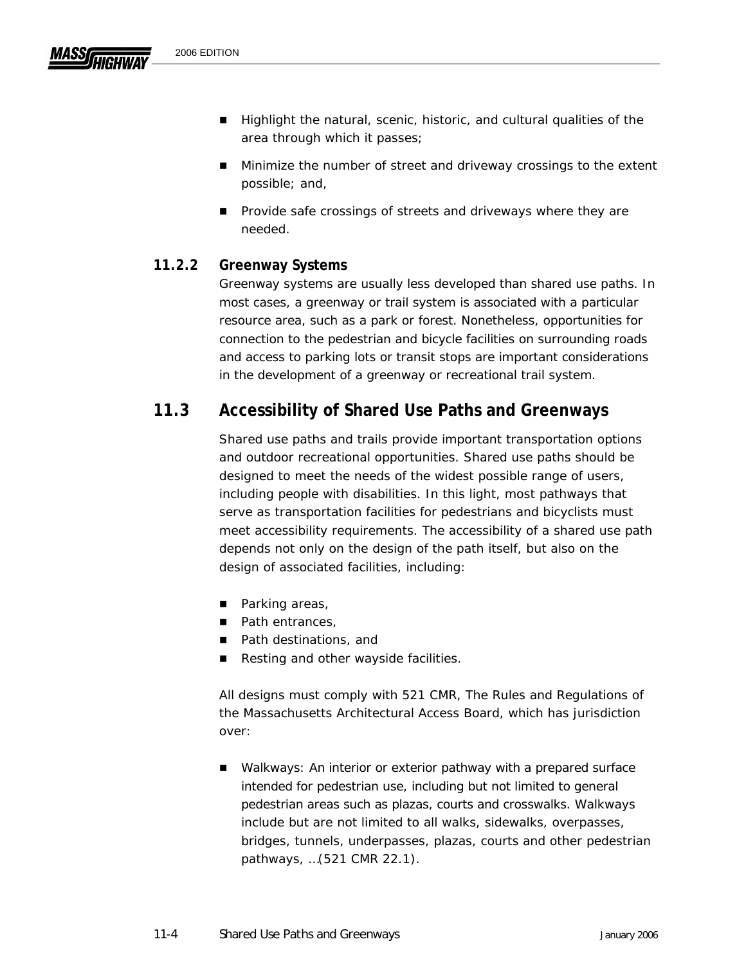- **Minimize the number of street and driveway crossings to the extent** possible; and,
- **Provide safe crossings of streets and driveways where they are** needed.

## **11.2.2 Greenway Systems**

Greenway systems are usually less developed than shared use paths. In most cases, a greenway or trail system is associated with a particular resource area, such as a park or forest. Nonetheless, opportunities for connection to the pedestrian and bicycle facilities on surrounding roads and access to parking lots or transit stops are important considerations in the development of a greenway or recreational trail system.

# **11.3 Accessibility of Shared Use Paths and Greenways**

Shared use paths and trails provide important transportation options and outdoor recreational opportunities. Shared use paths should be designed to meet the needs of the widest possible range of users, including people with disabilities. In this light, most pathways that serve as transportation facilities for pedestrians and bicyclists must meet accessibility requirements. The accessibility of a shared use path depends not only on the design of the path itself, but also on the design of associated facilities, including:

- Parking areas,
- Path entrances,
- Path destinations, and
- Resting and other wayside facilities.

All designs must comply with 521 CMR, *The Rules and Regulations of the Massachusetts Architectural Access Board,* which has jurisdiction over:

 Walkways: *An interior or exterior pathway with a prepared surface intended for pedestrian use, including but not limited to general pedestrian areas such as plazas, courts and crosswalks. Walkways include but are not limited to all walks, sidewalks, overpasses, bridges, tunnels, underpasses, plazas, courts and other pedestrian pathways,* …(521 CMR 22.1).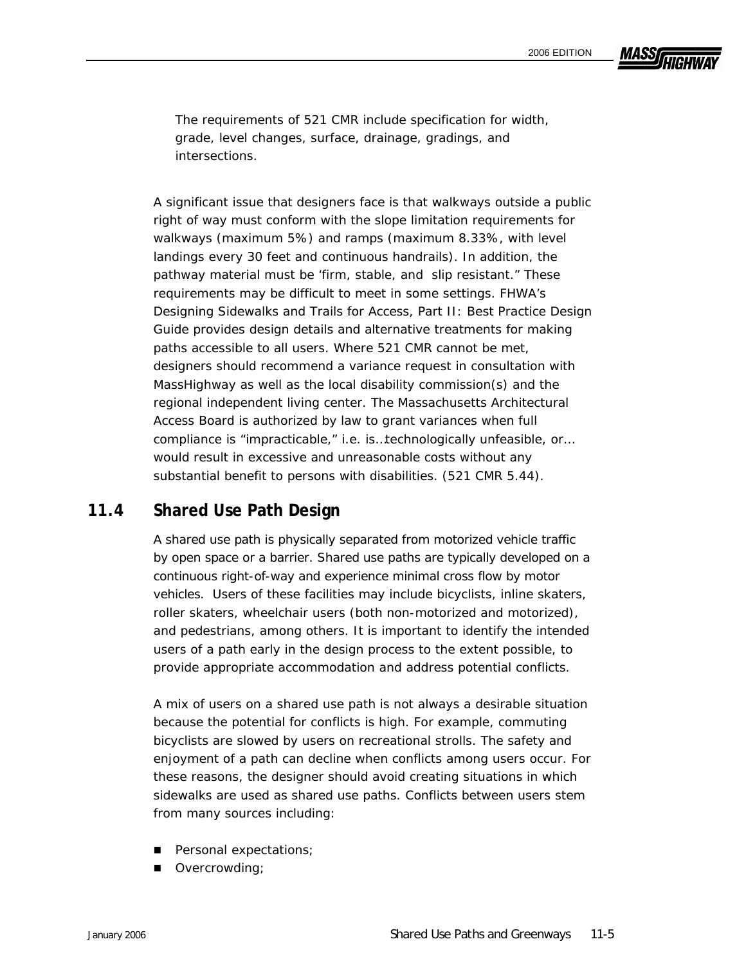**MASSA** 

The requirements of 521 CMR include specification for width, grade, level changes, surface, drainage, gradings, and intersections.

A significant issue that designers face is that walkways outside a public right of way must conform with the slope limitation requirements for walkways (maximum 5%) and ramps (maximum 8.33%, with level landings every 30 feet and continuous handrails). In addition, the pathway material must be 'firm, stable, and slip resistant." These requirements may be difficult to meet in some settings. FHWA's *Designing Sidewalks and Trails for Access, Part II: Best Practice Design Guide* provides design details and alternative treatments for making paths accessible to all users. Where 521 CMR cannot be met, designers should recommend a variance request in consultation with MassHighway as well as the local disability commission(s) and the regional independent living center. The Massachusetts Architectural Access Board is authorized by law to grant variances when full compliance is "*impracticable," i.e. is*…*technologically unfeasible, or… would result in excessive and unreasonable costs without any substantial benefit to persons with disabilities.* (521 CMR 5.44).

## **11.4 Shared Use Path Design**

A shared use path is physically separated from motorized vehicle traffic by open space or a barrier. Shared use paths are typically developed on a continuous right-of-way and experience minimal cross flow by motor vehicles. Users of these facilities may include bicyclists, inline skaters, roller skaters, wheelchair users (both non-motorized and motorized), and pedestrians, among others. It is important to identify the intended users of a path early in the design process to the extent possible, to provide appropriate accommodation and address potential conflicts.

A mix of users on a shared use path is not always a desirable situation because the potential for conflicts is high. For example, commuting bicyclists are slowed by users on recreational strolls. The safety and enjoyment of a path can decline when conflicts among users occur. For these reasons, the designer should avoid creating situations in which sidewalks are used as shared use paths. Conflicts between users stem from many sources including:

- **Personal expectations;**
- Overcrowding;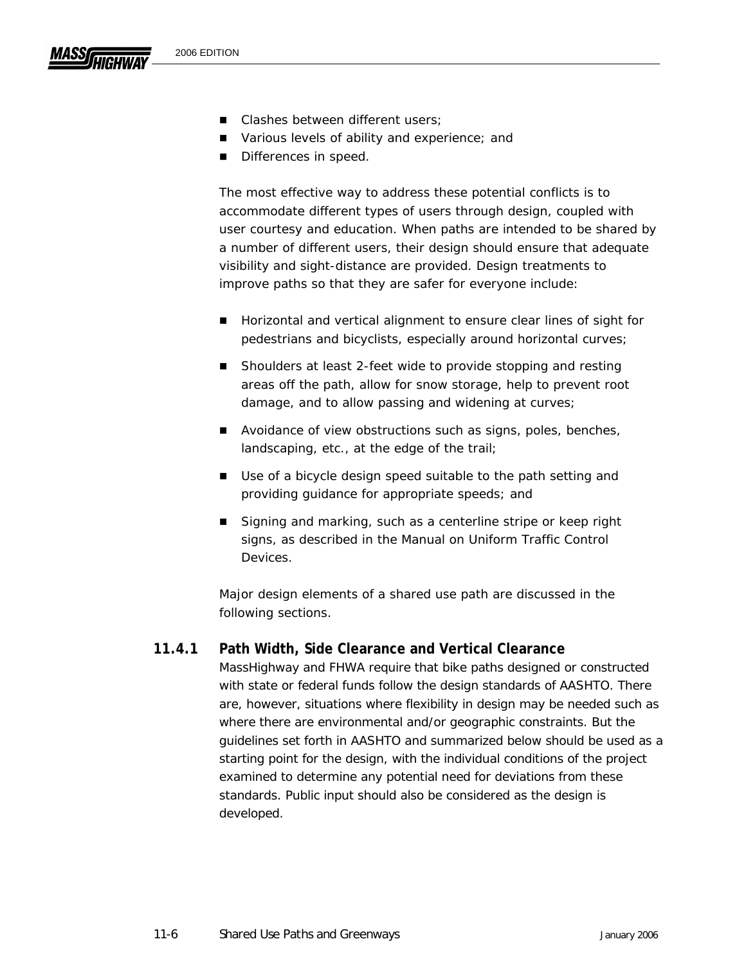- Various levels of ability and experience; and
- Differences in speed.

The most effective way to address these potential conflicts is to accommodate different types of users through design, coupled with user courtesy and education. When paths are intended to be shared by a number of different users, their design should ensure that adequate visibility and sight-distance are provided. Design treatments to improve paths so that they are safer for everyone include:

- Horizontal and vertical alignment to ensure clear lines of sight for pedestrians and bicyclists, especially around horizontal curves;
- Shoulders at least 2-feet wide to provide stopping and resting areas off the path, allow for snow storage, help to prevent root damage, and to allow passing and widening at curves;
- Avoidance of view obstructions such as signs, poles, benches, landscaping, etc., at the edge of the trail;
- Use of a bicycle design speed suitable to the path setting and providing guidance for appropriate speeds; and
- Signing and marking, such as a centerline stripe or keep right signs, as described in the *Manual on Uniform Traffic Control Devices*.

Major design elements of a shared use path are discussed in the following sections.

## **11.4.1 Path Width, Side Clearance and Vertical Clearance**

MassHighway and FHWA require that bike paths designed or constructed with state or federal funds follow the design standards of AASHTO. There are, however, situations where flexibility in design may be needed such as where there are environmental and/or geographic constraints. But the guidelines set forth in AASHTO and summarized below should be used as a starting point for the design, with the individual conditions of the project examined to determine any potential need for deviations from these standards. Public input should also be considered as the design is developed.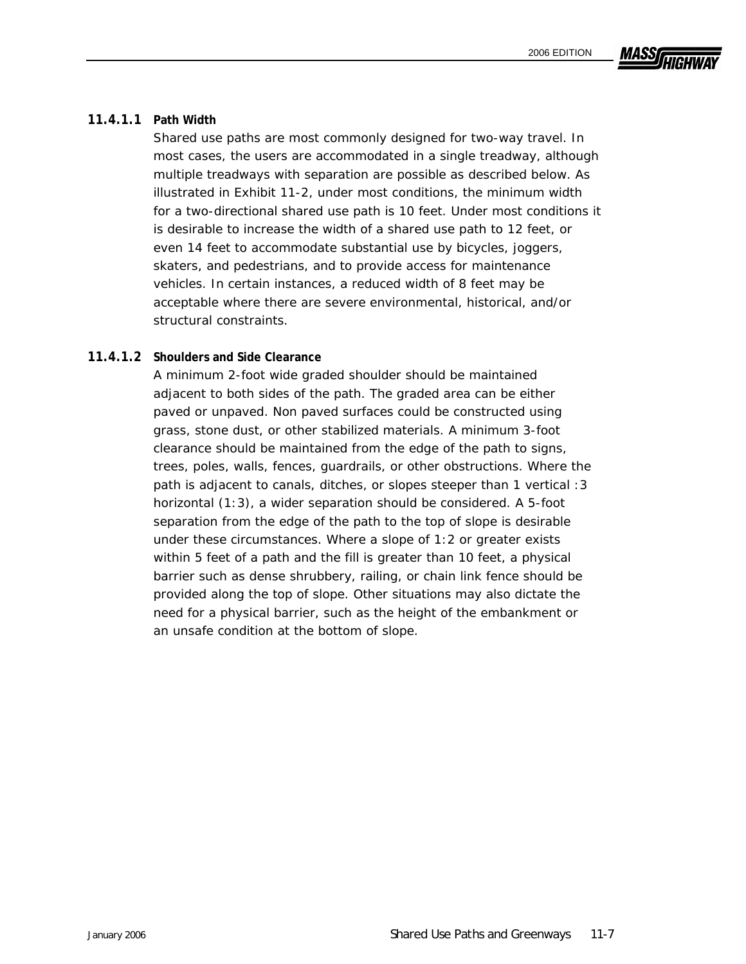# MASSI

#### **11.4.1.1 Path Width**

Shared use paths are most commonly designed for two-way travel. In most cases, the users are accommodated in a single treadway, although multiple treadways with separation are possible as described below. As illustrated in Exhibit 11-2, under most conditions, the minimum width for a two-directional shared use path is 10 feet. Under most conditions it is desirable to increase the width of a shared use path to 12 feet, or even 14 feet to accommodate substantial use by bicycles, joggers, skaters, and pedestrians, and to provide access for maintenance vehicles. In certain instances, a reduced width of 8 feet may be acceptable where there are severe environmental, historical, and/or structural constraints.

#### **11.4.1.2 Shoulders and Side Clearance**

A minimum 2-foot wide graded shoulder should be maintained adjacent to both sides of the path. The graded area can be either paved or unpaved. Non paved surfaces could be constructed using grass, stone dust, or other stabilized materials. A minimum 3-foot clearance should be maintained from the edge of the path to signs, trees, poles, walls, fences, guardrails, or other obstructions. Where the path is adjacent to canals, ditches, or slopes steeper than 1 vertical :3 horizontal (1:3), a wider separation should be considered. A 5-foot separation from the edge of the path to the top of slope is desirable under these circumstances. Where a slope of 1:2 or greater exists within 5 feet of a path and the fill is greater than 10 feet, a physical barrier such as dense shrubbery, railing, or chain link fence should be provided along the top of slope. Other situations may also dictate the need for a physical barrier, such as the height of the embankment or an unsafe condition at the bottom of slope.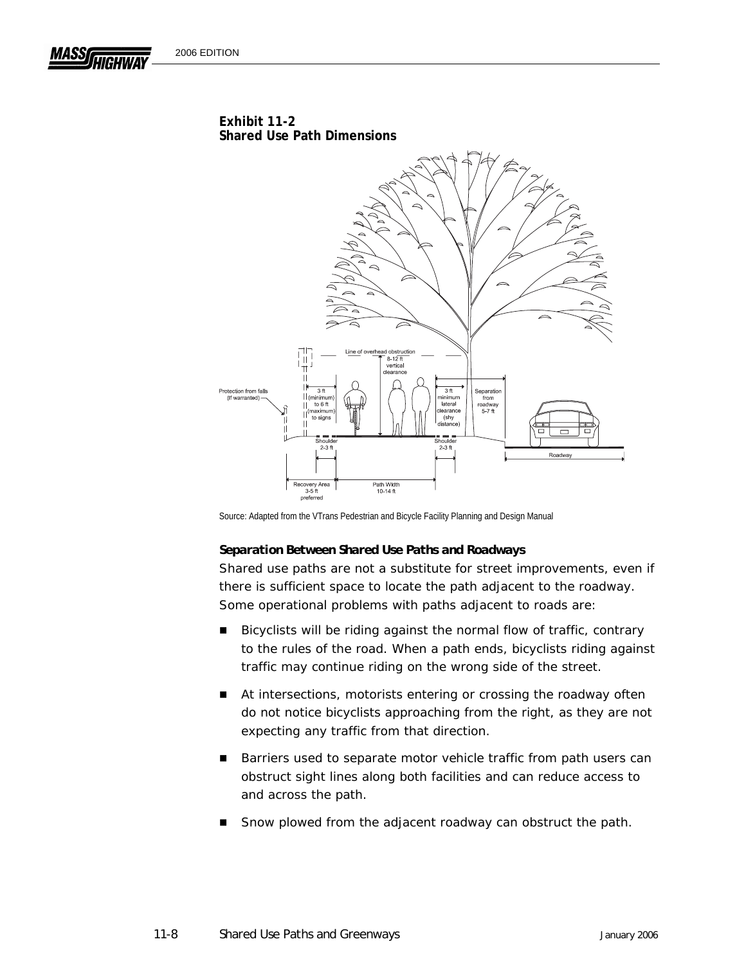

Source: Adapted from the VTrans Pedestrian and Bicycle Facility Planning and Design Manual

#### *Separation Between Shared Use Paths and Roadways*

Shared use paths are not a substitute for street improvements, even if there is sufficient space to locate the path adjacent to the roadway. Some operational problems with paths adjacent to roads are:

- Bicyclists will be riding against the normal flow of traffic, contrary to the rules of the road. When a path ends, bicyclists riding against traffic may continue riding on the wrong side of the street.
- At intersections, motorists entering or crossing the roadway often do not notice bicyclists approaching from the right, as they are not expecting any traffic from that direction.
- Barriers used to separate motor vehicle traffic from path users can obstruct sight lines along both facilities and can reduce access to and across the path.
- Snow plowed from the adjacent roadway can obstruct the path.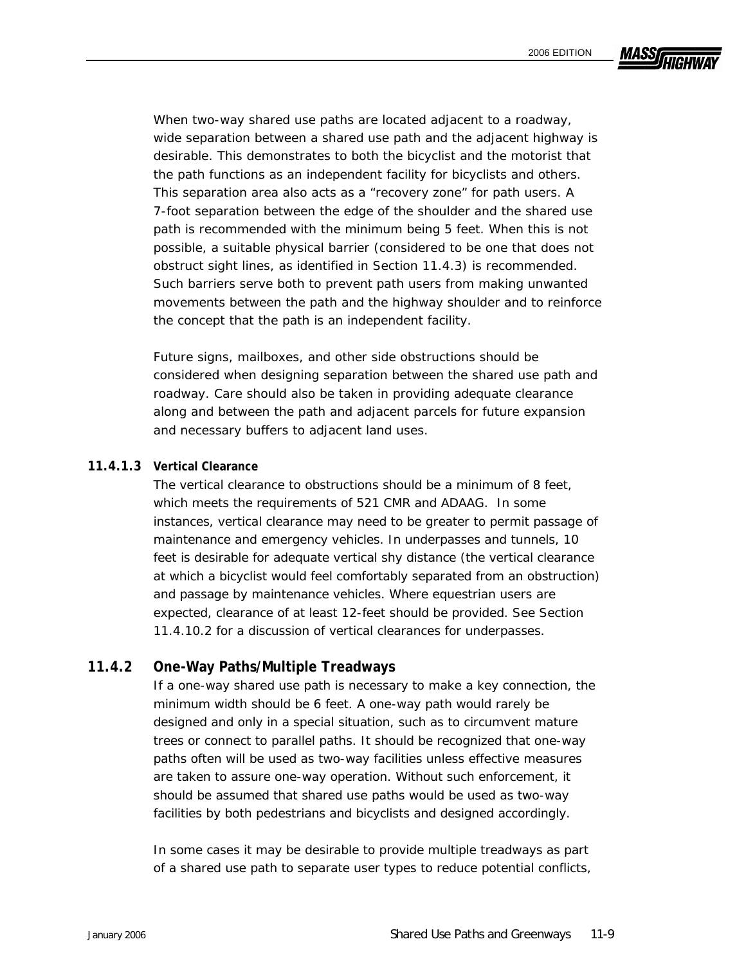**MASSA** 

When two-way shared use paths are located adjacent to a roadway, wide separation between a shared use path and the adjacent highway is desirable. This demonstrates to both the bicyclist and the motorist that the path functions as an independent facility for bicyclists and others. This separation area also acts as a "recovery zone" for path users. A 7-foot separation between the edge of the shoulder and the shared use path is recommended with the minimum being 5 feet. When this is not possible, a suitable physical barrier (considered to be one that does not obstruct sight lines, as identified in Section 11.4.3) is recommended. Such barriers serve both to prevent path users from making unwanted movements between the path and the highway shoulder and to reinforce the concept that the path is an independent facility.

Future signs, mailboxes, and other side obstructions should be considered when designing separation between the shared use path and roadway. Care should also be taken in providing adequate clearance along and between the path and adjacent parcels for future expansion and necessary buffers to adjacent land uses.

#### **11.4.1.3 Vertical Clearance**

The vertical clearance to obstructions should be a minimum of 8 feet, which meets the requirements of 521 CMR and ADAAG. In some instances, vertical clearance may need to be greater to permit passage of maintenance and emergency vehicles. In underpasses and tunnels, 10 feet is desirable for adequate vertical shy distance (the vertical clearance at which a bicyclist would feel comfortably separated from an obstruction) and passage by maintenance vehicles. Where equestrian users are expected, clearance of at least 12-feet should be provided. See Section 11.4.10.2 for a discussion of vertical clearances for underpasses.

#### **11.4.2 One-Way Paths/Multiple Treadways**

If a one-way shared use path is necessary to make a key connection, the minimum width should be 6 feet. A one-way path would rarely be designed and only in a special situation, such as to circumvent mature trees or connect to parallel paths. It should be recognized that one-way paths often will be used as two-way facilities unless effective measures are taken to assure one-way operation. Without such enforcement, it should be assumed that shared use paths would be used as two-way facilities by both pedestrians and bicyclists and designed accordingly.

In some cases it may be desirable to provide multiple treadways as part of a shared use path to separate user types to reduce potential conflicts,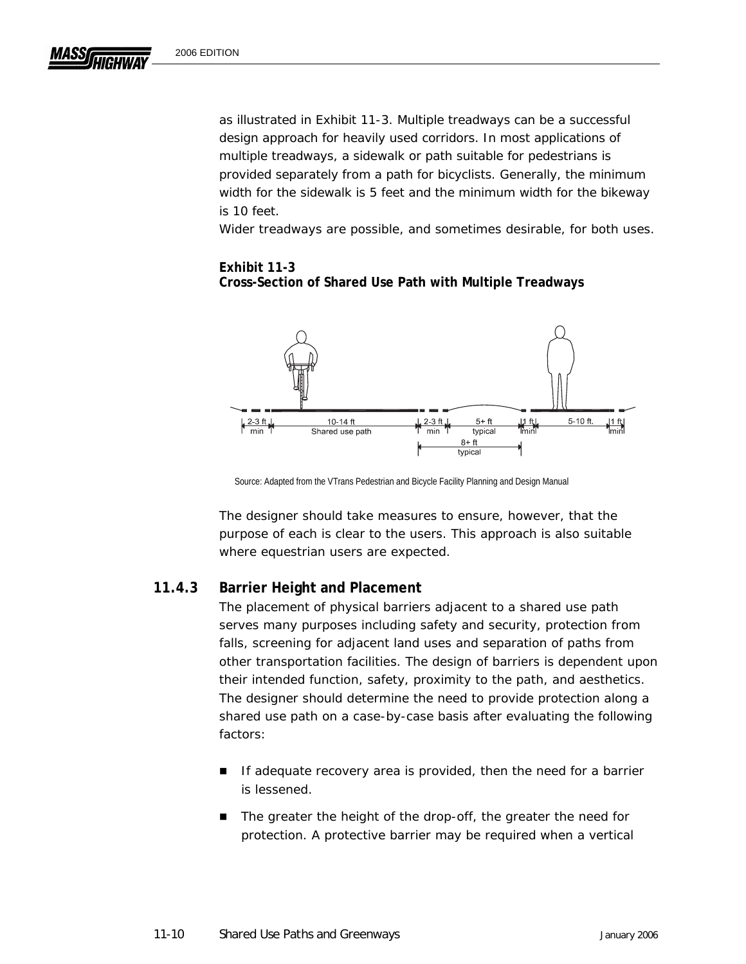as illustrated in Exhibit 11-3. Multiple treadways can be a successful design approach for heavily used corridors. In most applications of multiple treadways, a sidewalk or path suitable for pedestrians is provided separately from a path for bicyclists. Generally, the minimum width for the sidewalk is 5 feet and the minimum width for the bikeway is 10 feet.

Wider treadways are possible, and sometimes desirable, for both uses.

## **Exhibit 11-3 Cross-Section of Shared Use Path with Multiple Treadways**



Source: Adapted from the VTrans Pedestrian and Bicycle Facility Planning and Design Manual

The designer should take measures to ensure, however, that the purpose of each is clear to the users. This approach is also suitable where equestrian users are expected.

## **11.4.3 Barrier Height and Placement**

The placement of physical barriers adjacent to a shared use path serves many purposes including safety and security, protection from falls, screening for adjacent land uses and separation of paths from other transportation facilities. The design of barriers is dependent upon their intended function, safety, proximity to the path, and aesthetics. The designer should determine the need to provide protection along a shared use path on a case-by-case basis after evaluating the following factors:

- **If adequate recovery area is provided, then the need for a barrier** is lessened.
- The greater the height of the drop-off, the greater the need for protection. A protective barrier may be required when a vertical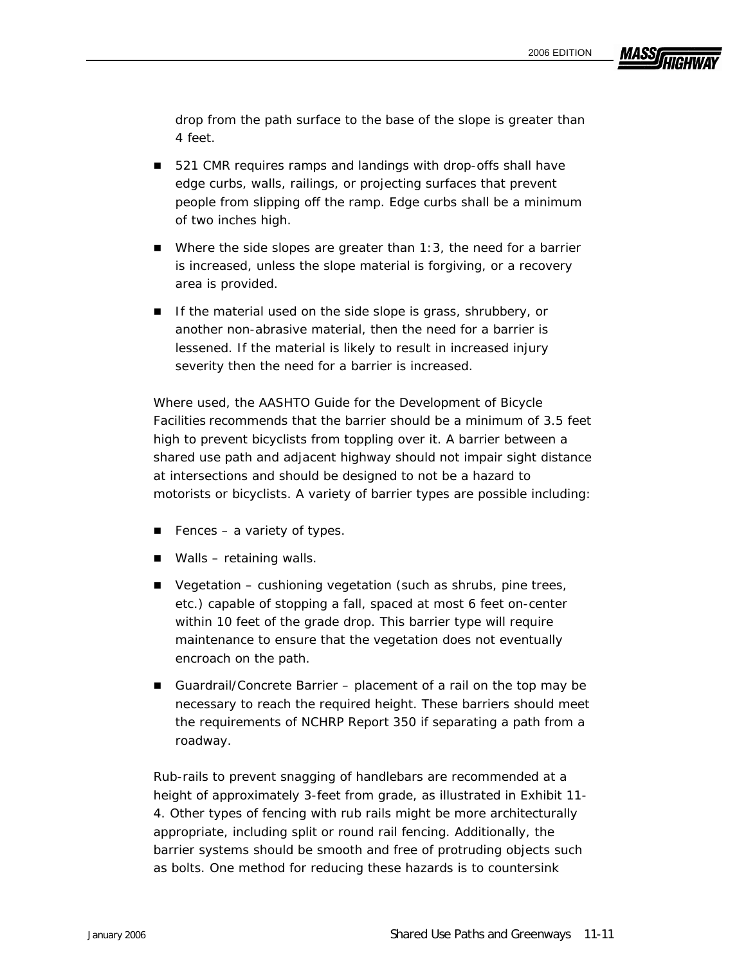**MASSA** 

drop from the path surface to the base of the slope is greater than 4 feet.

- 521 CMR requires *ramps and landings with drop-offs shall have edge curbs, walls, railings, or projecting surfaces that prevent people from slipping off the ramp. Edge curbs shall be a minimum of two inches high.*
- $\blacksquare$  Where the side slopes are greater than 1:3, the need for a barrier is increased, unless the slope material is forgiving, or a recovery area is provided.
- If the material used on the side slope is grass, shrubbery, or another non-abrasive material, then the need for a barrier is lessened. If the material is likely to result in increased injury severity then the need for a barrier is increased.

Where used, the *AASHTO Guide for the Development of Bicycle Facilities* recommends that the barrier should be a minimum of 3.5 feet high to prevent bicyclists from toppling over it. A barrier between a shared use path and adjacent highway should not impair sight distance at intersections and should be designed to not be a hazard to motorists or bicyclists. A variety of barrier types are possible including:

- Fences a variety of types.
- Walls retaining walls.
- Vegetation cushioning vegetation (such as shrubs, pine trees, etc.) capable of stopping a fall, spaced at most 6 feet on-center within 10 feet of the grade drop. This barrier type will require maintenance to ensure that the vegetation does not eventually encroach on the path.
- Guardrail/Concrete Barrier placement of a rail on the top may be necessary to reach the required height. These barriers should meet the requirements of NCHRP Report 350 if separating a path from a roadway.

Rub-rails to prevent snagging of handlebars are recommended at a height of approximately 3-feet from grade, as illustrated in Exhibit 11- 4. Other types of fencing with rub rails might be more architecturally appropriate, including split or round rail fencing. Additionally, the barrier systems should be smooth and free of protruding objects such as bolts. One method for reducing these hazards is to countersink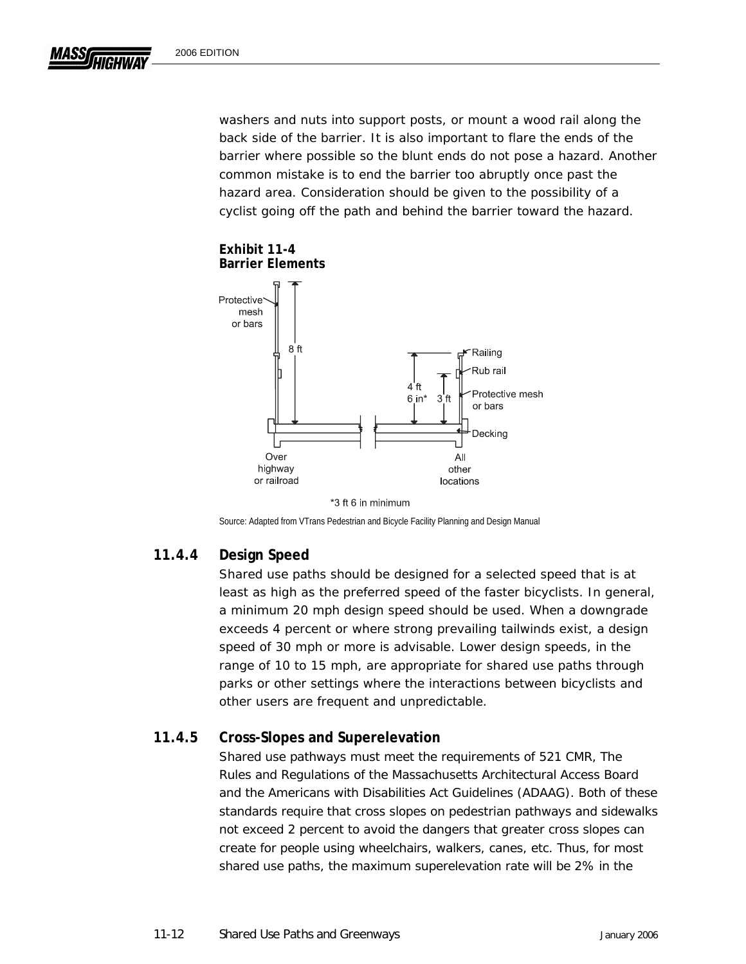washers and nuts into support posts, or mount a wood rail along the back side of the barrier. It is also important to flare the ends of the barrier where possible so the blunt ends do not pose a hazard. Another common mistake is to end the barrier too abruptly once past the hazard area. Consideration should be given to the possibility of a cyclist going off the path and behind the barrier toward the hazard.





Source: Adapted from VTrans Pedestrian and Bicycle Facility Planning and Design Manual

## **11.4.4 Design Speed**

Shared use paths should be designed for a selected speed that is at least as high as the preferred speed of the faster bicyclists. In general, a minimum 20 mph design speed should be used. When a downgrade exceeds 4 percent or where strong prevailing tailwinds exist, a design speed of 30 mph or more is advisable. Lower design speeds, in the range of 10 to 15 mph, are appropriate for shared use paths through parks or other settings where the interactions between bicyclists and other users are frequent and unpredictable.

## **11.4.5 Cross-Slopes and Superelevation**

Shared use pathways must meet the requirements of 521 CMR, *The Rules and Regulations of the Massachusetts Architectural Access Board*  and the *Americans with Disabilities Act Guidelines* (ADAAG). Both of these standards require that cross slopes on pedestrian pathways and sidewalks not exceed 2 percent to avoid the dangers that greater cross slopes can create for people using wheelchairs, walkers, canes, etc. Thus, for most shared use paths, the maximum superelevation rate will be 2% in the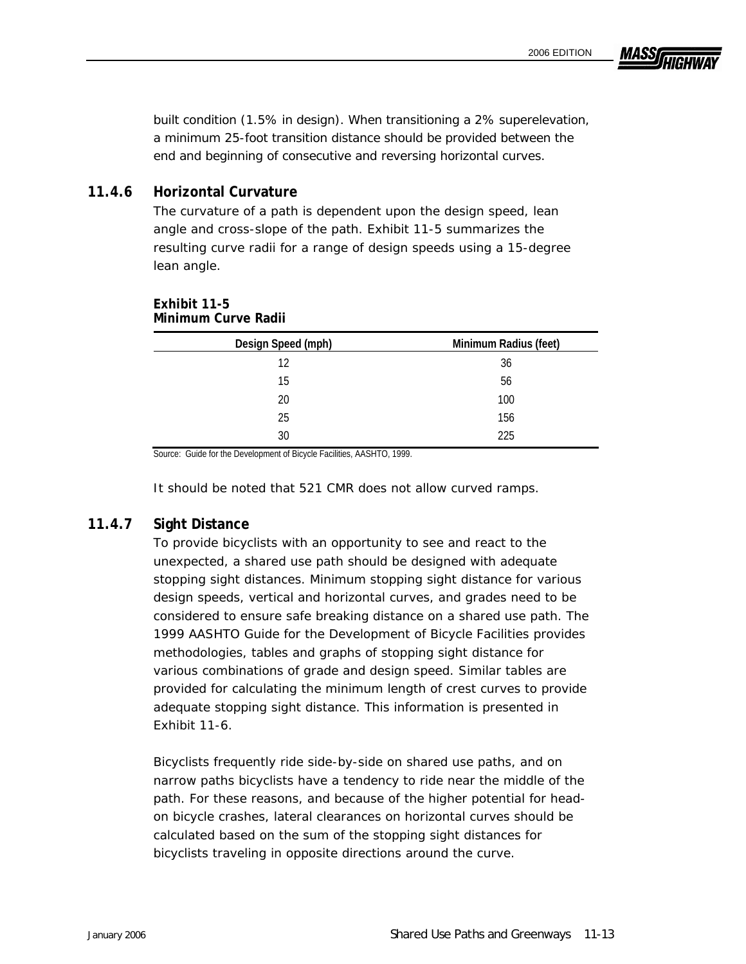MASSI

built condition (1.5% in design). When transitioning a 2% superelevation, a minimum 25-foot transition distance should be provided between the end and beginning of consecutive and reversing horizontal curves.

#### **11.4.6 Horizontal Curvature**

The curvature of a path is dependent upon the design speed, lean angle and cross-slope of the path. Exhibit 11-5 summarizes the resulting curve radii for a range of design speeds using a 15-degree lean angle.

| Design Speed (mph) | Minimum Radius (feet) |
|--------------------|-----------------------|
| 12                 | 36                    |
| 15                 | 56                    |
| 20                 | 100                   |
| 25                 | 156                   |
| 30                 | 225                   |

#### **Exhibit 11-5 Minimum Curve Radii**

Source: Guide for the Development of Bicycle Facilities, AASHTO, 1999.

It should be noted that 521 CMR does not allow curved ramps.

#### **11.4.7 Sight Distance**

To provide bicyclists with an opportunity to see and react to the unexpected, a shared use path should be designed with adequate stopping sight distances. Minimum stopping sight distance for various design speeds, vertical and horizontal curves, and grades need to be considered to ensure safe breaking distance on a shared use path. The 1999 *AASHTO Guide for the Development of Bicycle Facilities* provides methodologies, tables and graphs of stopping sight distance for various combinations of grade and design speed. Similar tables are provided for calculating the minimum length of crest curves to provide adequate stopping sight distance. This information is presented in Exhibit 11-6.

Bicyclists frequently ride side-by-side on shared use paths, and on narrow paths bicyclists have a tendency to ride near the middle of the path. For these reasons, and because of the higher potential for headon bicycle crashes, lateral clearances on horizontal curves should be calculated based on the sum of the stopping sight distances for bicyclists traveling in opposite directions around the curve.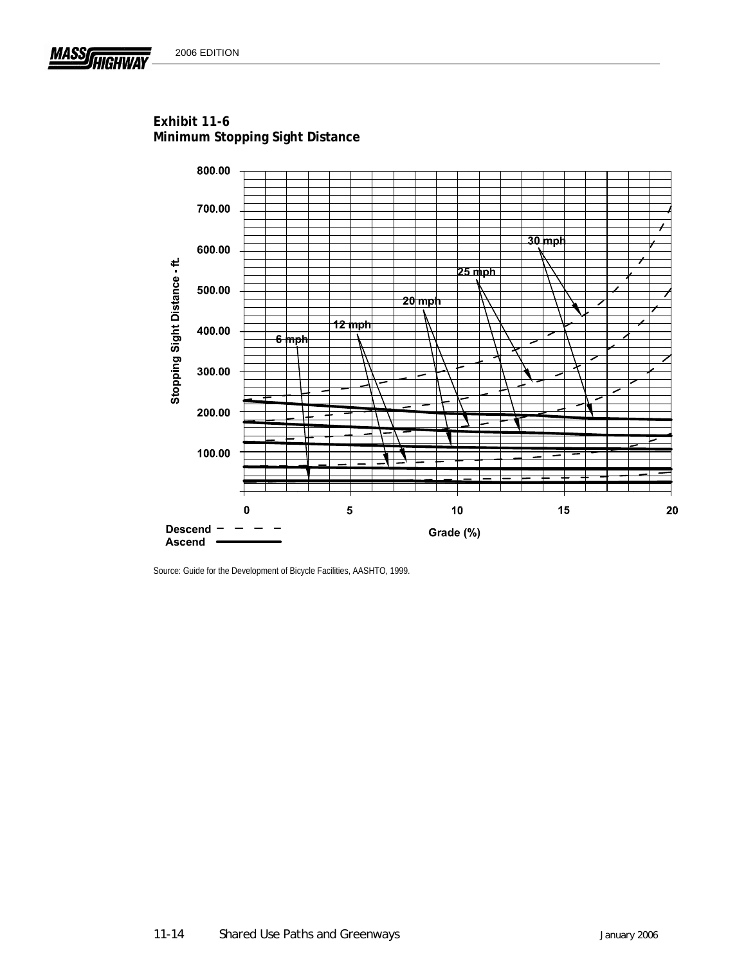**MASS** 



**Exhibit 11-6 Minimum Stopping Sight Distance** 

Source: Guide for the Development of Bicycle Facilities, AASHTO, 1999.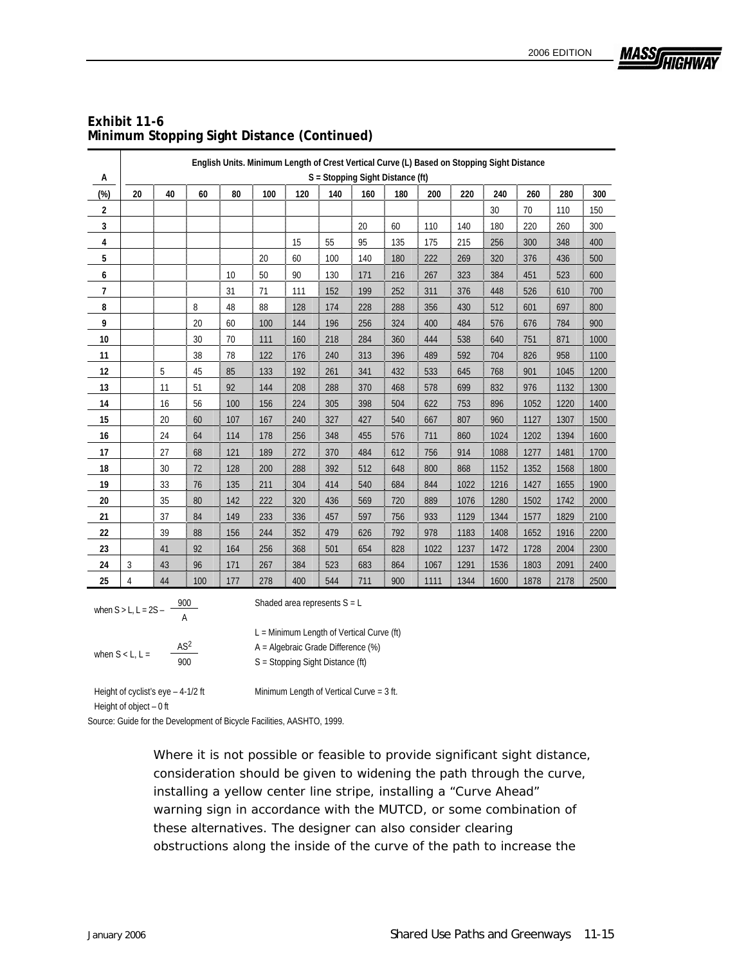

| Exhibit 11-6                                |
|---------------------------------------------|
| Minimum Stopping Sight Distance (Continued) |

|                         |                                  | English Units. Minimum Length of Crest Vertical Curve (L) Based on Stopping Sight Distance |     |     |     |     |     |     |     |      |      |      |      |      |      |
|-------------------------|----------------------------------|--------------------------------------------------------------------------------------------|-----|-----|-----|-----|-----|-----|-----|------|------|------|------|------|------|
| А                       | S = Stopping Sight Distance (ft) |                                                                                            |     |     |     |     |     |     |     |      |      |      |      |      |      |
| $(\%)$                  | 20                               | 40                                                                                         | 60  | 80  | 100 | 120 | 140 | 160 | 180 | 200  | 220  | 240  | 260  | 280  | 300  |
| $\overline{\mathbf{2}}$ |                                  |                                                                                            |     |     |     |     |     |     |     |      |      | 30   | 70   | 110  | 150  |
| 3                       |                                  |                                                                                            |     |     |     |     |     | 20  | 60  | 110  | 140  | 180  | 220  | 260  | 300  |
| 4                       |                                  |                                                                                            |     |     |     | 15  | 55  | 95  | 135 | 175  | 215  | 256  | 300  | 348  | 400  |
| 5                       |                                  |                                                                                            |     |     | 20  | 60  | 100 | 140 | 180 | 222  | 269  | 320  | 376  | 436  | 500  |
| 6                       |                                  |                                                                                            |     | 10  | 50  | 90  | 130 | 171 | 216 | 267  | 323  | 384  | 451  | 523  | 600  |
| $\overline{7}$          |                                  |                                                                                            |     | 31  | 71  | 111 | 152 | 199 | 252 | 311  | 376  | 448  | 526  | 610  | 700  |
| 8                       |                                  |                                                                                            | 8   | 48  | 88  | 128 | 174 | 228 | 288 | 356  | 430  | 512  | 601  | 697  | 800  |
| 9                       |                                  |                                                                                            | 20  | 60  | 100 | 144 | 196 | 256 | 324 | 400  | 484  | 576  | 676  | 784  | 900  |
| 10                      |                                  |                                                                                            | 30  | 70  | 111 | 160 | 218 | 284 | 360 | 444  | 538  | 640  | 751  | 871  | 1000 |
| 11                      |                                  |                                                                                            | 38  | 78  | 122 | 176 | 240 | 313 | 396 | 489  | 592  | 704  | 826  | 958  | 1100 |
| 12                      |                                  | 5                                                                                          | 45  | 85  | 133 | 192 | 261 | 341 | 432 | 533  | 645  | 768  | 901  | 1045 | 1200 |
| 13                      |                                  | 11                                                                                         | 51  | 92  | 144 | 208 | 288 | 370 | 468 | 578  | 699  | 832  | 976  | 1132 | 1300 |
| 14                      |                                  | 16                                                                                         | 56  | 100 | 156 | 224 | 305 | 398 | 504 | 622  | 753  | 896  | 1052 | 1220 | 1400 |
| 15                      |                                  | 20                                                                                         | 60  | 107 | 167 | 240 | 327 | 427 | 540 | 667  | 807  | 960  | 1127 | 1307 | 1500 |
| 16                      |                                  | 24                                                                                         | 64  | 114 | 178 | 256 | 348 | 455 | 576 | 711  | 860  | 1024 | 1202 | 1394 | 1600 |
| 17                      |                                  | 27                                                                                         | 68  | 121 | 189 | 272 | 370 | 484 | 612 | 756  | 914  | 1088 | 1277 | 1481 | 1700 |
| 18                      |                                  | 30                                                                                         | 72  | 128 | 200 | 288 | 392 | 512 | 648 | 800  | 868  | 1152 | 1352 | 1568 | 1800 |
| 19                      |                                  | 33                                                                                         | 76  | 135 | 211 | 304 | 414 | 540 | 684 | 844  | 1022 | 1216 | 1427 | 1655 | 1900 |
| 20                      |                                  | 35                                                                                         | 80  | 142 | 222 | 320 | 436 | 569 | 720 | 889  | 1076 | 1280 | 1502 | 1742 | 2000 |
| 21                      |                                  | 37                                                                                         | 84  | 149 | 233 | 336 | 457 | 597 | 756 | 933  | 1129 | 1344 | 1577 | 1829 | 2100 |
| 22                      |                                  | 39                                                                                         | 88  | 156 | 244 | 352 | 479 | 626 | 792 | 978  | 1183 | 1408 | 1652 | 1916 | 2200 |
| 23                      |                                  | 41                                                                                         | 92  | 164 | 256 | 368 | 501 | 654 | 828 | 1022 | 1237 | 1472 | 1728 | 2004 | 2300 |
| 24                      | 3                                | 43                                                                                         | 96  | 171 | 267 | 384 | 523 | 683 | 864 | 1067 | 1291 | 1536 | 1803 | 2091 | 2400 |
| 25                      | 4                                | 44                                                                                         | 100 | 177 | 278 | 400 | 544 | 711 | 900 | 1111 | 1344 | 1600 | 1878 | 2178 | 2500 |

when  $S > L$ ,  $L = 2S - \frac{900}{A}$  Shaded area represents  $S = L$ 

when  $S < L$ ,  $L = \frac{AS^2}{900}$   $A = Algebraic Grade Difference (%)$ <br>S = Stopping Sight Distance (ft)

L = Minimum Length of Vertical Curve (ft)

Height of cyclist's eye  $-4-1/2$  ft Minimum Length of Vertical Curve = 3 ft. Height of object – 0 ft

Source: Guide for the Development of Bicycle Facilities, AASHTO, 1999.

Where it is not possible or feasible to provide significant sight distance, consideration should be given to widening the path through the curve, installing a yellow center line stripe, installing a "Curve Ahead" warning sign in accordance with the MUTCD, or some combination of these alternatives. The designer can also consider clearing obstructions along the inside of the curve of the path to increase the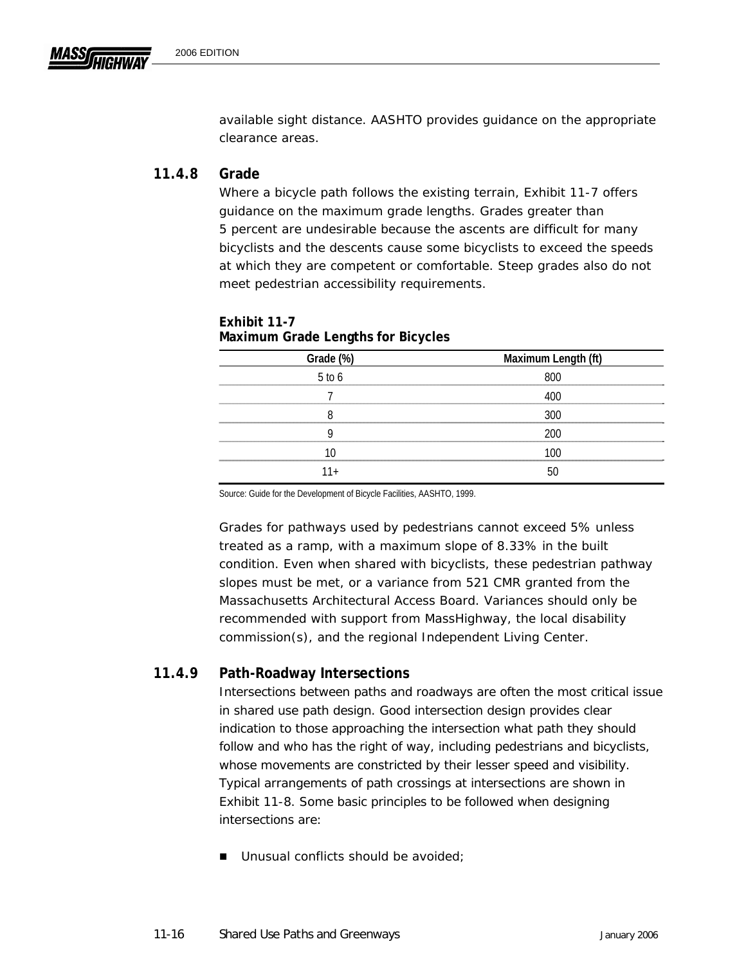available sight distance. AASHTO provides guidance on the appropriate clearance areas.

## **11.4.8 Grade**

Where a bicycle path follows the existing terrain, Exhibit 11-7 offers guidance on the maximum grade lengths. Grades greater than 5 percent are undesirable because the ascents are difficult for many bicyclists and the descents cause some bicyclists to exceed the speeds at which they are competent or comfortable. Steep grades also do not meet pedestrian accessibility requirements.

| Grade (%)  | Maximum Length (ft) |
|------------|---------------------|
| $5$ to $6$ | 800                 |
|            | 400                 |
|            | 300                 |
|            | 200                 |
| 10         | 100                 |
| 11+        | 50                  |

#### **Exhibit 11-7 Maximum Grade Lengths for Bicycles**

Source: Guide for the Development of Bicycle Facilities, AASHTO, 1999.

Grades for pathways used by pedestrians cannot exceed 5% unless treated as a ramp, with a maximum slope of 8.33% in the built condition. Even when shared with bicyclists, these pedestrian pathway slopes must be met, or a variance from 521 CMR granted from the Massachusetts Architectural Access Board. Variances should only be recommended with support from MassHighway, the local disability commission(s), and the regional Independent Living Center.

## **11.4.9 Path-Roadway Intersections**

Intersections between paths and roadways are often the most critical issue in shared use path design. Good intersection design provides clear indication to those approaching the intersection what path they should follow and who has the right of way, including pedestrians and bicyclists, whose movements are constricted by their lesser speed and visibility. Typical arrangements of path crossings at intersections are shown in Exhibit 11-8. Some basic principles to be followed when designing intersections are:

■ Unusual conflicts should be avoided;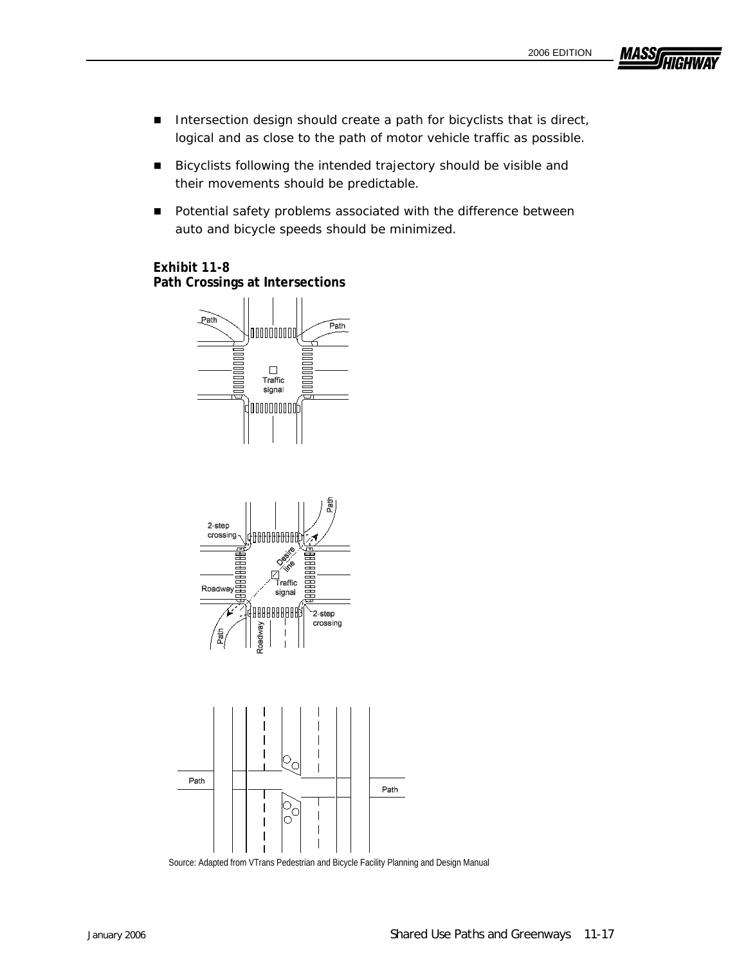**MASS** 

- Intersection design should create a path for bicyclists that is direct, logical and as close to the path of motor vehicle traffic as possible.
- Bicyclists following the intended trajectory should be visible and their movements should be predictable.
- **Potential safety problems associated with the difference between** auto and bicycle speeds should be minimized.

# **Exhibit 11-8**

**Path Crossings at Intersections** 







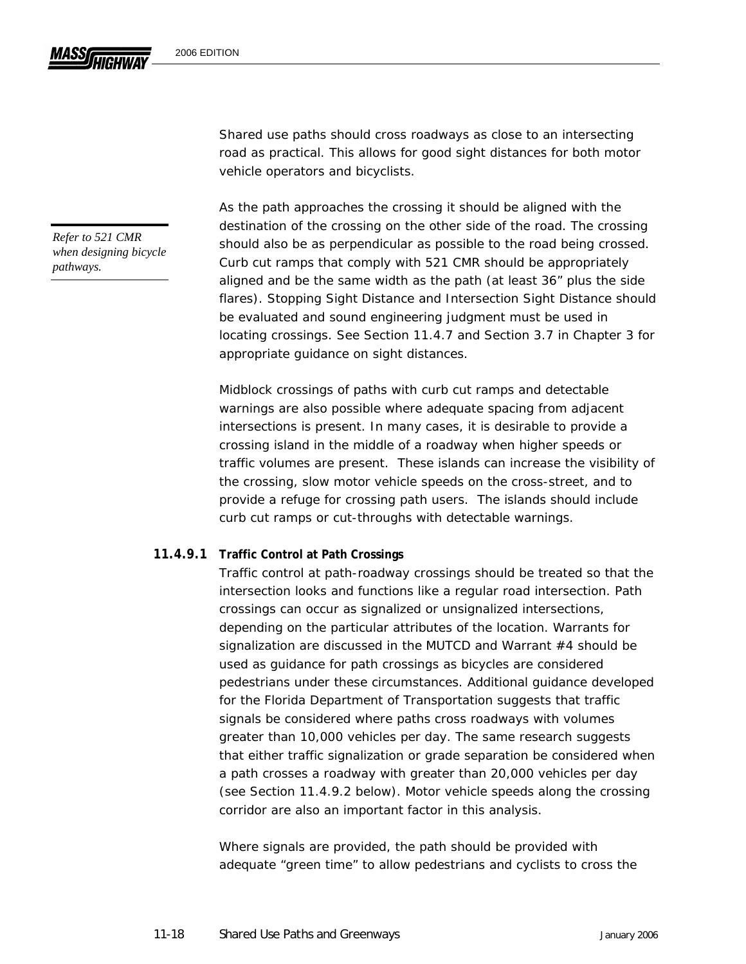Shared use paths should cross roadways as close to an intersecting road as practical. This allows for good sight distances for both motor vehicle operators and bicyclists.

As the path approaches the crossing it should be aligned with the destination of the crossing on the other side of the road. The crossing should also be as perpendicular as possible to the road being crossed. Curb cut ramps that comply with 521 CMR should be appropriately aligned and be the same width as the path (at least 36" plus the side flares). Stopping Sight Distance and Intersection Sight Distance should be evaluated and sound engineering judgment must be used in locating crossings. See Section 11.4.7 and Section 3.7 in Chapter 3 for appropriate guidance on sight distances.

Midblock crossings of paths with curb cut ramps and detectable warnings are also possible where adequate spacing from adjacent intersections is present. In many cases, it is desirable to provide a crossing island in the middle of a roadway when higher speeds or traffic volumes are present. These islands can increase the visibility of the crossing, slow motor vehicle speeds on the cross-street, and to provide a refuge for crossing path users. The islands should include curb cut ramps or cut-throughs with detectable warnings.

#### **11.4.9.1 Traffic Control at Path Crossings**

Traffic control at path-roadway crossings should be treated so that the intersection looks and functions like a regular road intersection. Path crossings can occur as signalized or unsignalized intersections, depending on the particular attributes of the location. Warrants for signalization are discussed in the MUTCD and Warrant #4 should be used as guidance for path crossings as bicycles are considered pedestrians under these circumstances. Additional guidance developed for the Florida Department of Transportation suggests that traffic signals be considered where paths cross roadways with volumes greater than 10,000 vehicles per day. The same research suggests that either traffic signalization or grade separation be considered when a path crosses a roadway with greater than 20,000 vehicles per day (see Section 11.4.9.2 below). Motor vehicle speeds along the crossing corridor are also an important factor in this analysis.

Where signals are provided, the path should be provided with adequate "green time" to allow pedestrians and cyclists to cross the

*Refer to 521 CMR when designing bicycle pathways.*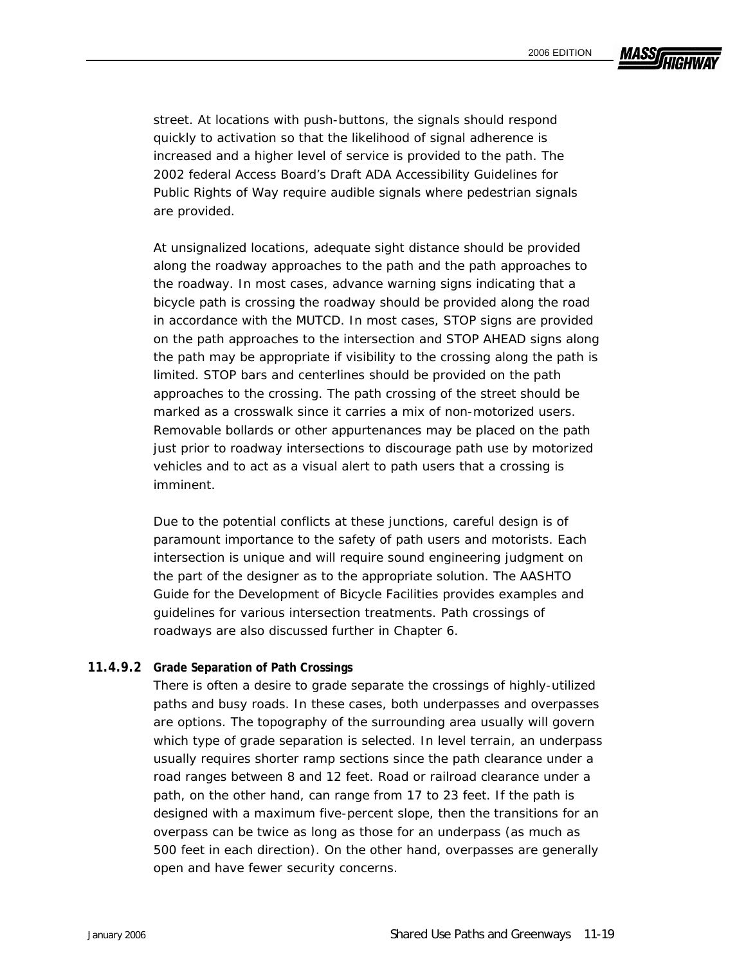

street. At locations with push-buttons, the signals should respond quickly to activation so that the likelihood of signal adherence is increased and a higher level of service is provided to the path. The 2002 federal Access Board's *Draft ADA Accessibility Guidelines for Public Rights of Way* require audible signals where pedestrian signals are provided.

At unsignalized locations, adequate sight distance should be provided along the roadway approaches to the path and the path approaches to the roadway. In most cases, advance warning signs indicating that a bicycle path is crossing the roadway should be provided along the road in accordance with the MUTCD. In most cases, STOP signs are provided on the path approaches to the intersection and STOP AHEAD signs along the path may be appropriate if visibility to the crossing along the path is limited. STOP bars and centerlines should be provided on the path approaches to the crossing. The path crossing of the street should be marked as a crosswalk since it carries a mix of non-motorized users. Removable bollards or other appurtenances may be placed on the path just prior to roadway intersections to discourage path use by motorized vehicles and to act as a visual alert to path users that a crossing is imminent.

Due to the potential conflicts at these junctions, careful design is of paramount importance to the safety of path users and motorists. Each intersection is unique and will require sound engineering judgment on the part of the designer as to the appropriate solution. The AASHTO *Guide for the Development of Bicycle Facilities* provides examples and guidelines for various intersection treatments. Path crossings of roadways are also discussed further in Chapter 6.

#### **11.4.9.2 Grade Separation of Path Crossings**

There is often a desire to grade separate the crossings of highly-utilized paths and busy roads. In these cases, both underpasses and overpasses are options. The topography of the surrounding area usually will govern which type of grade separation is selected. In level terrain, an underpass usually requires shorter ramp sections since the path clearance under a road ranges between 8 and 12 feet. Road or railroad clearance under a path, on the other hand, can range from 17 to 23 feet. If the path is designed with a maximum five-percent slope, then the transitions for an overpass can be twice as long as those for an underpass (as much as 500 feet in each direction). On the other hand, overpasses are generally open and have fewer security concerns.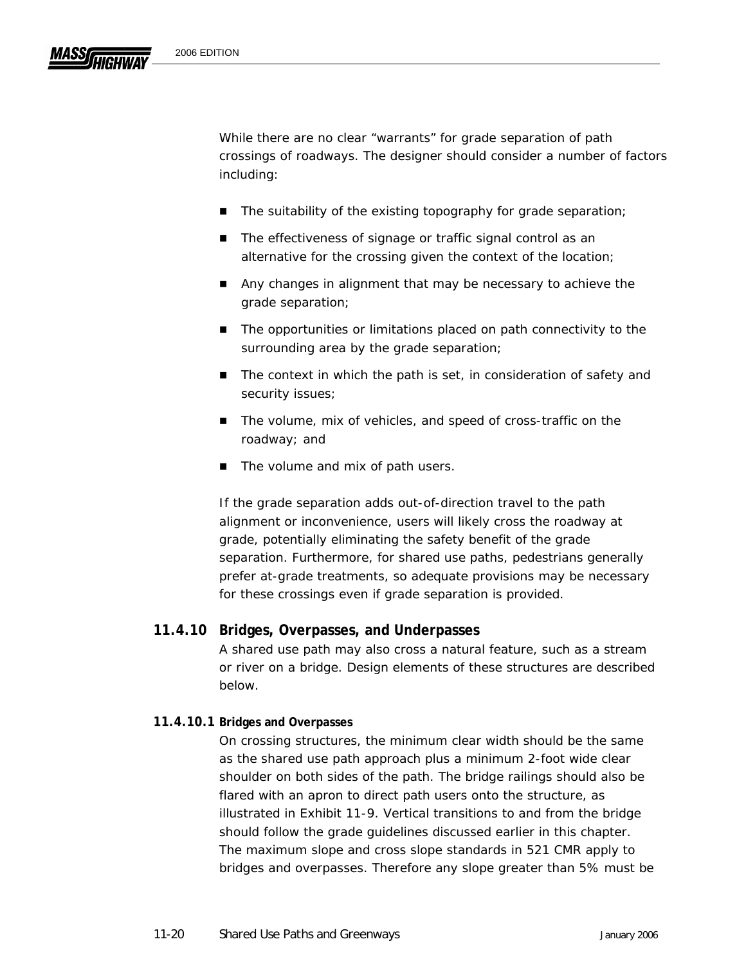While there are no clear "warrants" for grade separation of path crossings of roadways. The designer should consider a number of factors including:

- The suitability of the existing topography for grade separation;
- The effectiveness of signage or traffic signal control as an alternative for the crossing given the context of the location;
- Any changes in alignment that may be necessary to achieve the grade separation;
- The opportunities or limitations placed on path connectivity to the surrounding area by the grade separation;
- The context in which the path is set, in consideration of safety and security issues;
- The volume, mix of vehicles, and speed of cross-traffic on the roadway; and
- The volume and mix of path users.

If the grade separation adds out-of-direction travel to the path alignment or inconvenience, users will likely cross the roadway at grade, potentially eliminating the safety benefit of the grade separation. Furthermore, for shared use paths, pedestrians generally prefer at-grade treatments, so adequate provisions may be necessary for these crossings even if grade separation is provided.

## **11.4.10 Bridges, Overpasses, and Underpasses**

A shared use path may also cross a natural feature, such as a stream or river on a bridge. Design elements of these structures are described below.

## **11.4.10.1 Bridges and Overpasses**

On crossing structures, the minimum clear width should be the same as the shared use path approach plus a minimum 2-foot wide clear shoulder on both sides of the path. The bridge railings should also be flared with an apron to direct path users onto the structure, as illustrated in Exhibit 11-9. Vertical transitions to and from the bridge should follow the grade guidelines discussed earlier in this chapter. The maximum slope and cross slope standards in 521 CMR apply to bridges and overpasses. Therefore any slope greater than 5% must be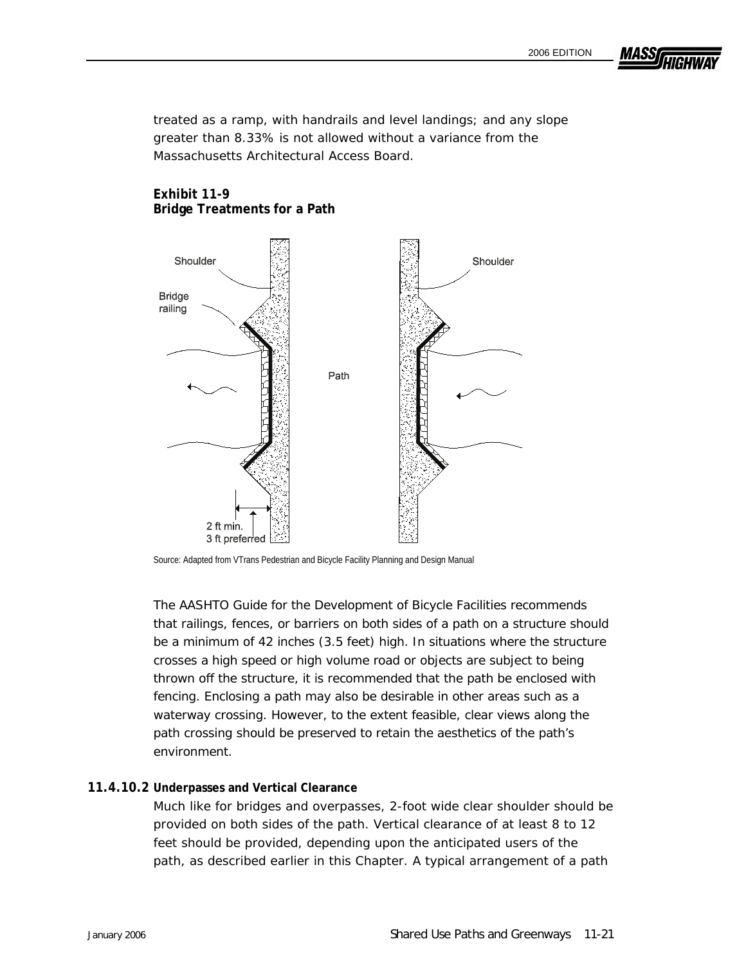**MASS** 

treated as a ramp, with handrails and level landings; and any slope greater than 8.33% is not allowed without a variance from the Massachusetts Architectural Access Board.

#### **Exhibit 11-9 Bridge Treatments for a Path**



Source: Adapted from VTrans Pedestrian and Bicycle Facility Planning and Design Manual

The AASHTO Guide for the Development of Bicycle Facilities recommends that railings, fences, or barriers on both sides of a path on a structure should be a minimum of 42 inches (3.5 feet) high. In situations where the structure crosses a high speed or high volume road or objects are subject to being thrown off the structure, it is recommended that the path be enclosed with fencing. Enclosing a path may also be desirable in other areas such as a waterway crossing. However, to the extent feasible, clear views along the path crossing should be preserved to retain the aesthetics of the path's environment.

#### **11. 4.10.2 Underpasses and Vertical Clearance**

Much like for bridges and overpasses, 2-foot wide clear shoulder should be provided on both sides of the path. Vertical clearance of at least 8 to 12 path, as described earlier in this Chapter. A typical arrangement of a path feet should be provided, depending upon the anticipated users of the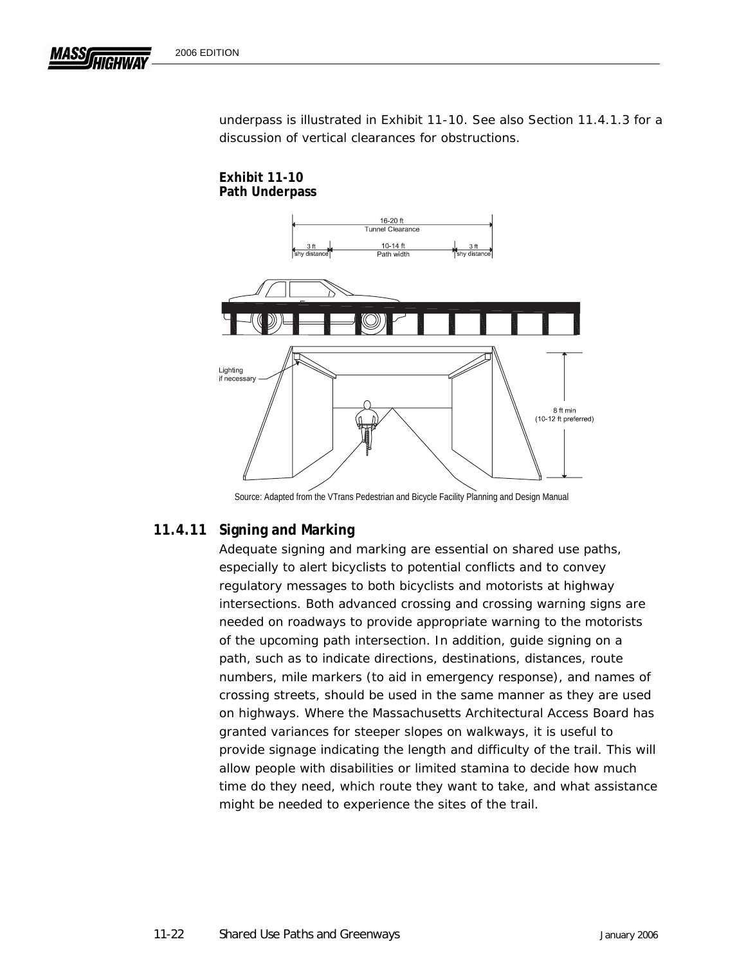**Exhibit 11-10** 

underpass is illustrated in Exhibit 11-10. See also Section 11.4.1.3 for a discussion of vertical clearances for obstructions.



Source: Adapted from the VTrans Pedestrian and Bicycle Facility Planning and Design Manual

## **11.4.11 Signing and Marking**

Adequate signing and marking are essential on shared use paths, especially to alert bicyclists to potential conflicts and to convey regulatory messages to both bicyclists and motorists at highway intersections. Both advanced crossing and crossing warning signs are needed on roadways to provide appropriate warning to the motorists of the upcoming path intersection. In addition, guide signing on a path, such as to indicate directions, destinations, distances, route numbers, mile markers (to aid in emergency response), and names of crossing streets, should be used in the same manner as they are used on highways. Where the Massachusetts Architectural Access Board has granted variances for steeper slopes on walkways, it is useful to provide signage indicating the length and difficulty of the trail. This will allow people with disabilities or limited stamina to decide how much time do they need, which route they want to take, and what assistance might be needed to experience the sites of the trail.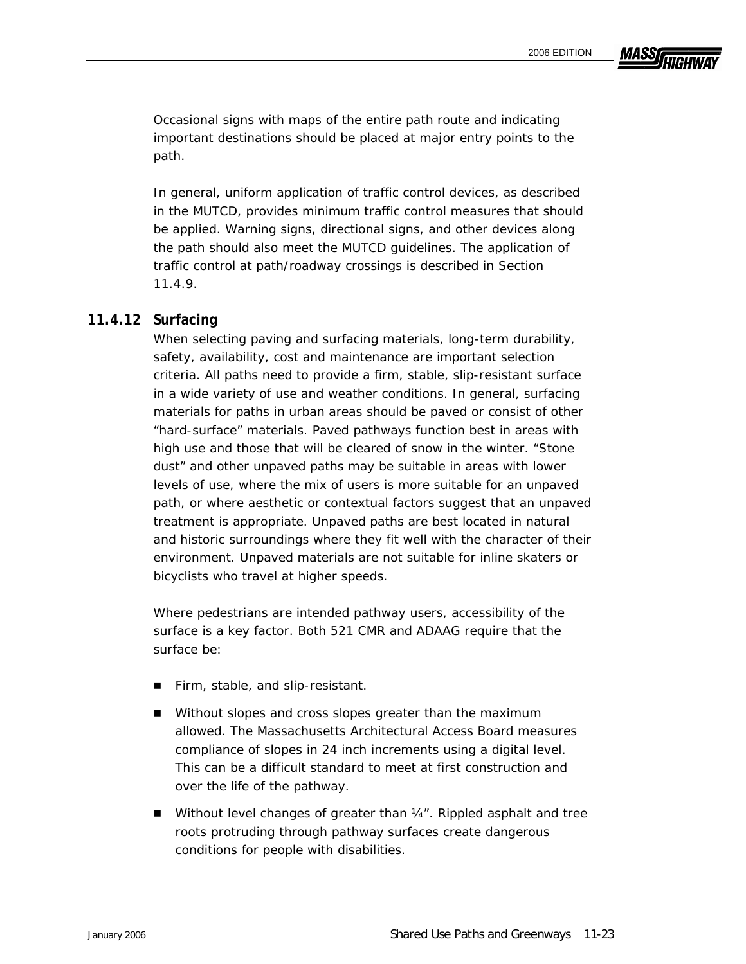**MASSA** 

Occasional signs with maps of the entire path route and indicating important destinations should be placed at major entry points to the path.

In general, uniform application of traffic control devices, as described in the MUTCD, provides minimum traffic control measures that should be applied. Warning signs, directional signs, and other devices along the path should also meet the MUTCD guidelines. The application of traffic control at path/roadway crossings is described in Section 11.4.9.

## **11.4.12 Surfacing**

When selecting paving and surfacing materials, long-term durability, safety, availability, cost and maintenance are important selection criteria. All paths need to provide a firm, stable, slip-resistant surface in a wide variety of use and weather conditions. In general, surfacing materials for paths in urban areas should be paved or consist of other "hard-surface" materials. Paved pathways function best in areas with high use and those that will be cleared of snow in the winter. "Stone dust" and other unpaved paths may be suitable in areas with lower levels of use, where the mix of users is more suitable for an unpaved path, or where aesthetic or contextual factors suggest that an unpaved treatment is appropriate. Unpaved paths are best located in natural and historic surroundings where they fit well with the character of their environment. Unpaved materials are not suitable for inline skaters or bicyclists who travel at higher speeds.

Where pedestrians are intended pathway users, accessibility of the surface is a key factor. Both 521 CMR and ADAAG require that the surface be:

- Firm, stable, and slip-resistant.
- Without slopes and cross slopes greater than the maximum allowed. The Massachusetts Architectural Access Board measures compliance of slopes in 24 inch increments using a digital level. This can be a difficult standard to meet at first construction and over the life of the pathway.
- $\blacksquare$  Without level changes of greater than  $\frac{1}{4}$ . Rippled asphalt and tree roots protruding through pathway surfaces create dangerous conditions for people with disabilities.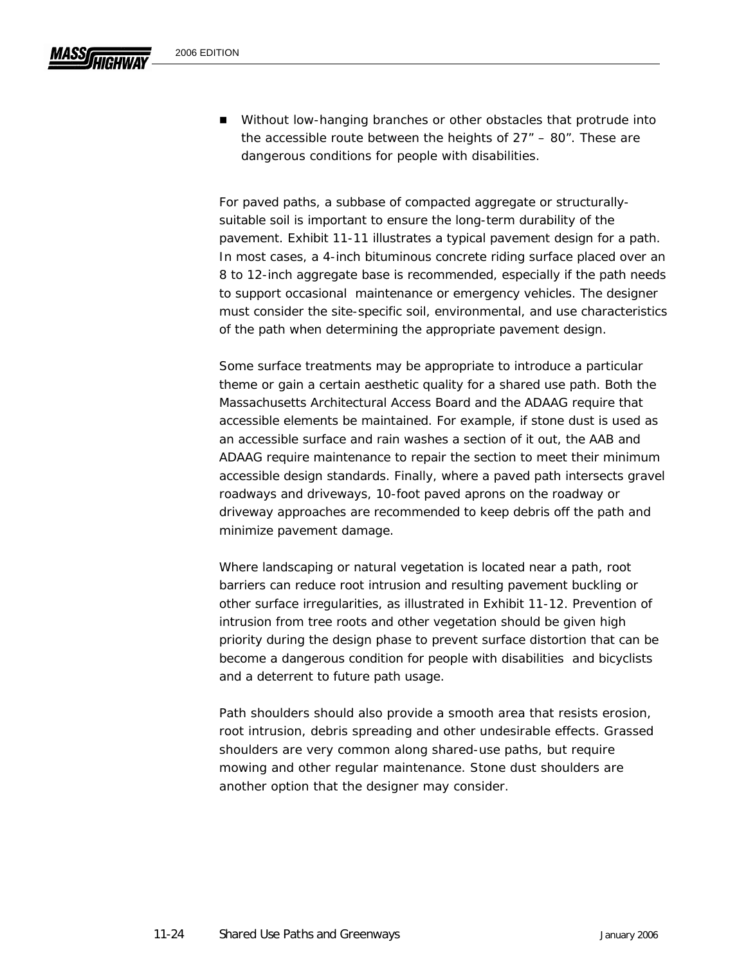For paved paths, a subbase of compacted aggregate or structurallysuitable soil is important to ensure the long-term durability of the pavement. Exhibit 11-11 illustrates a typical pavement design for a path. In most cases, a 4-inch bituminous concrete riding surface placed over an 8 to 12-inch aggregate base is recommended, especially if the path needs to support occasional maintenance or emergency vehicles. The designer must consider the site-specific soil, environmental, and use characteristics of the path when determining the appropriate pavement design.

Some surface treatments may be appropriate to introduce a particular theme or gain a certain aesthetic quality for a shared use path. Both the Massachusetts Architectural Access Board and the ADAAG require that accessible elements be maintained. For example, if stone dust is used as an accessible surface and rain washes a section of it out, the AAB and ADAAG require maintenance to repair the section to meet their minimum accessible design standards. Finally, where a paved path intersects gravel roadways and driveways, 10-foot paved aprons on the roadway or driveway approaches are recommended to keep debris off the path and minimize pavement damage.

Where landscaping or natural vegetation is located near a path, root barriers can reduce root intrusion and resulting pavement buckling or other surface irregularities, as illustrated in Exhibit 11-12. Prevention of intrusion from tree roots and other vegetation should be given high priority during the design phase to prevent surface distortion that can be become a dangerous condition for people with disabilities and bicyclists and a deterrent to future path usage.

Path shoulders should also provide a smooth area that resists erosion, root intrusion, debris spreading and other undesirable effects. Grassed shoulders are very common along shared-use paths, but require mowing and other regular maintenance. Stone dust shoulders are another option that the designer may consider.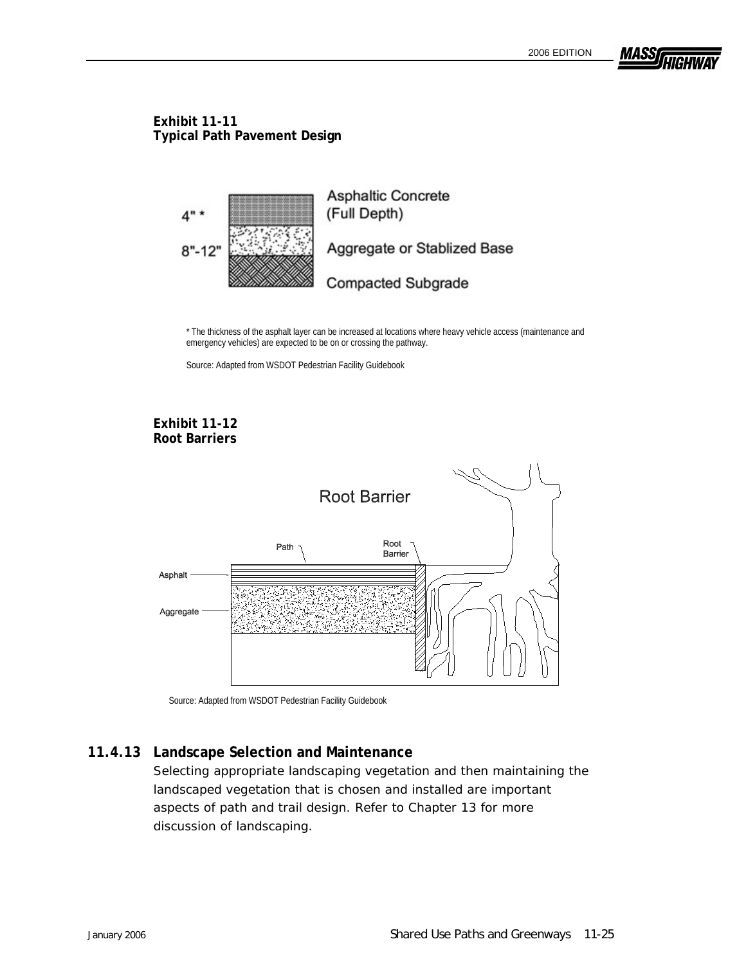

### **Exhibit 11-11 Typical Path Pavement Design**



 \* The thickness of the asphalt layer can be increased at locations where heavy vehicle access (maintenance and emergency vehicles) are expected to be on or crossing the pathway.

Source: Adapted from WSDOT Pedestrian Facility Guidebook

### **Exhibit 11-12 Root Barriers**



Source: Adapted from WSDOT Pedestrian Facility Guidebook

## **11.4.13 Landscape Selection and Maintenance**

Selecting appropriate landscaping vegetation and then maintaining the landscaped vegetation that is chosen and installed are important aspects of path and trail design. Refer to Chapter 13 for more discussion of landscaping.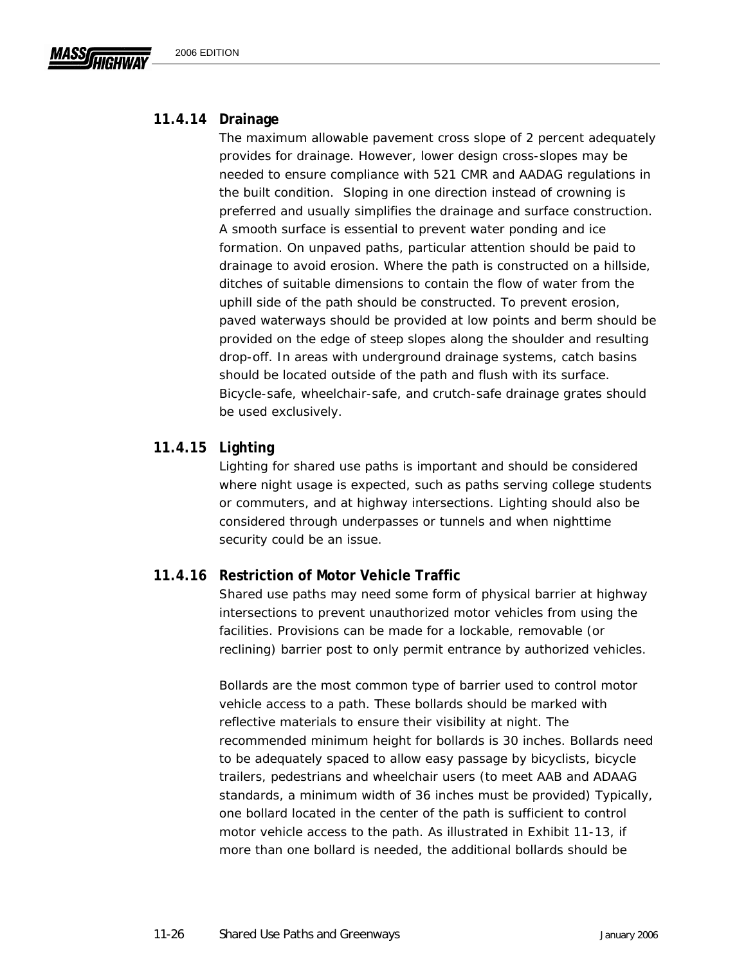## **11.4.14 Drainage**

The maximum allowable pavement cross slope of 2 percent adequately provides for drainage. However, lower design cross-slopes may be needed to ensure compliance with 521 CMR and AADAG regulations in the built condition. Sloping in one direction instead of crowning is preferred and usually simplifies the drainage and surface construction. A smooth surface is essential to prevent water ponding and ice formation. On unpaved paths, particular attention should be paid to drainage to avoid erosion. Where the path is constructed on a hillside, ditches of suitable dimensions to contain the flow of water from the uphill side of the path should be constructed. To prevent erosion, paved waterways should be provided at low points and berm should be provided on the edge of steep slopes along the shoulder and resulting drop-off. In areas with underground drainage systems, catch basins should be located outside of the path and flush with its surface. Bicycle-safe, wheelchair-safe, and crutch-safe drainage grates should be used exclusively.

## **11.4.15 Lighting**

Lighting for shared use paths is important and should be considered where night usage is expected, such as paths serving college students or commuters, and at highway intersections. Lighting should also be considered through underpasses or tunnels and when nighttime security could be an issue.

## **11.4.16 Restriction of Motor Vehicle Traffic**

Shared use paths may need some form of physical barrier at highway intersections to prevent unauthorized motor vehicles from using the facilities. Provisions can be made for a lockable, removable (or reclining) barrier post to only permit entrance by authorized vehicles.

Bollards are the most common type of barrier used to control motor vehicle access to a path. These bollards should be marked with reflective materials to ensure their visibility at night. The recommended minimum height for bollards is 30 inches. Bollards need to be adequately spaced to allow easy passage by bicyclists, bicycle trailers, pedestrians and wheelchair users (to meet AAB and ADAAG standards, a minimum width of 36 inches must be provided) Typically, one bollard located in the center of the path is sufficient to control motor vehicle access to the path. As illustrated in Exhibit 11-13, if more than one bollard is needed, the additional bollards should be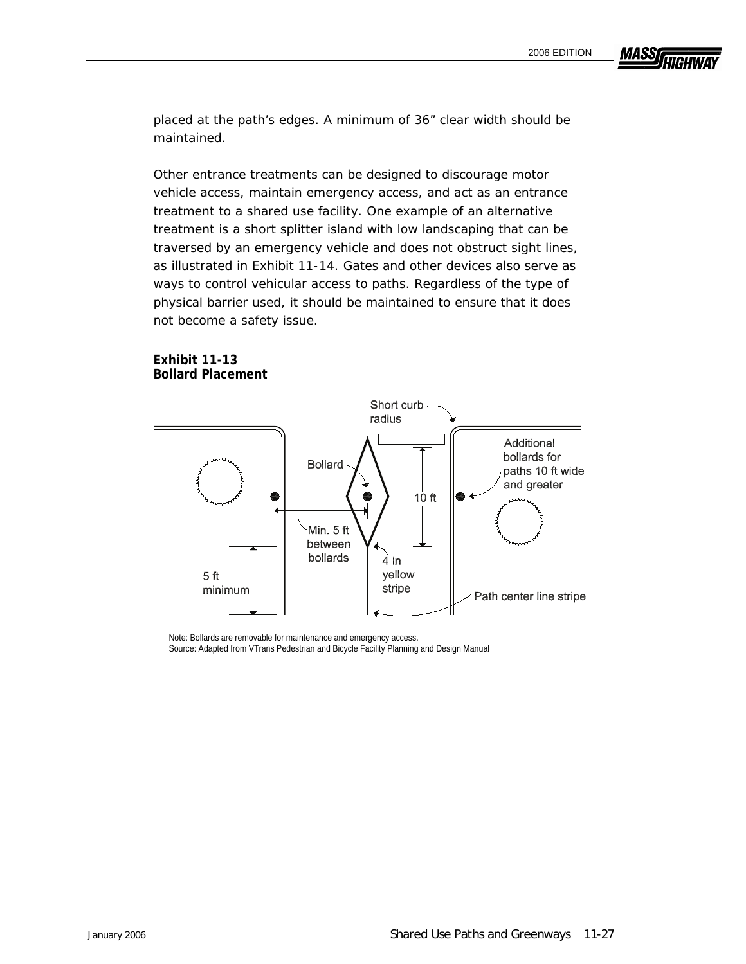**MASS** 

placed at the path's edges. A minimum of 36" clear width should be maintained.

Other entrance treatments can be designed to discourage motor vehicle access, maintain emergency access, and act as an entrance treatment to a shared use facility. One example of an alternative treatment is a short splitter island with low landscaping that can be traversed by an emergency vehicle and does not obstruct sight lines, as illustrated in Exhibit 11-14. Gates and other devices also serve as ways to control vehicular access to paths. Regardless of the type of physical barrier used, it should be maintained to ensure that it does not become a safety issue.



**Exhibit 11-13 Bollard Placement** 

> Note: Bollards are removable for maintenance and emergency access. Source: Adapted from VTrans Pedestrian and Bicycle Facility Planning and Design Manual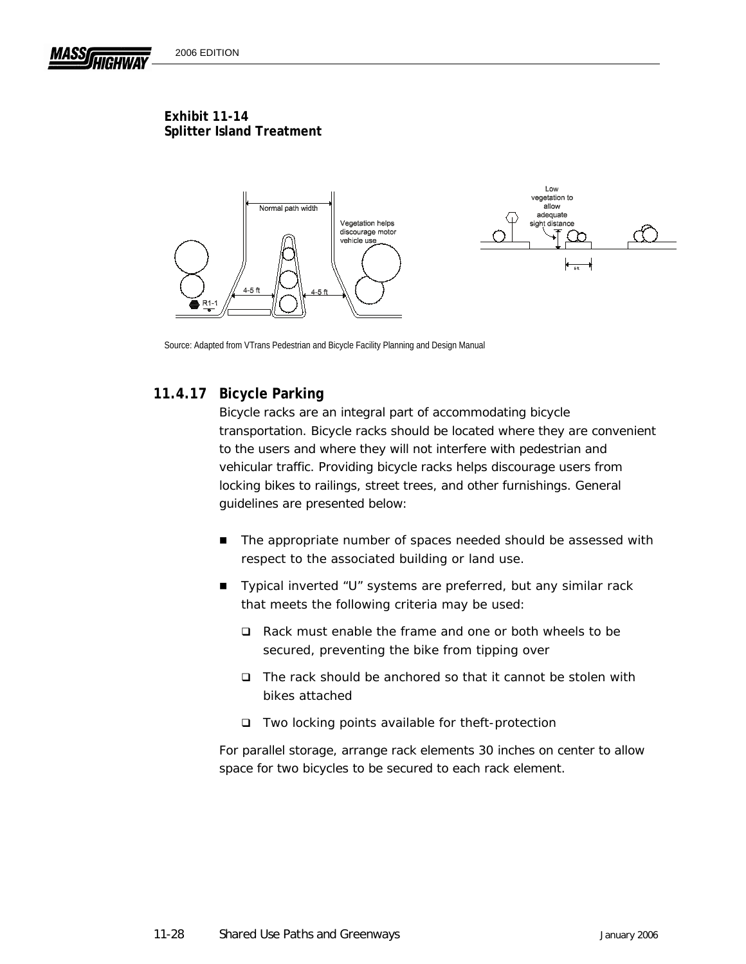

Source: Adapted from VTrans Pedestrian and Bicycle Facility Planning and Design Manual

## **11.4.17 Bicycle Parking**

Bicycle racks are an integral part of accommodating bicycle transportation. Bicycle racks should be located where they are convenient to the users and where they will not interfere with pedestrian and vehicular traffic. Providing bicycle racks helps discourage users from locking bikes to railings, street trees, and other furnishings. General guidelines are presented below:

- The appropriate number of spaces needed should be assessed with respect to the associated building or land use.
- Typical inverted "U" systems are preferred, but any similar rack that meets the following criteria may be used:
	- □ Rack must enable the frame and one or both wheels to be secured, preventing the bike from tipping over
	- $\Box$  The rack should be anchored so that it cannot be stolen with bikes attached
	- □ Two locking points available for theft-protection

For parallel storage, arrange rack elements 30 inches on center to allow space for two bicycles to be secured to each rack element.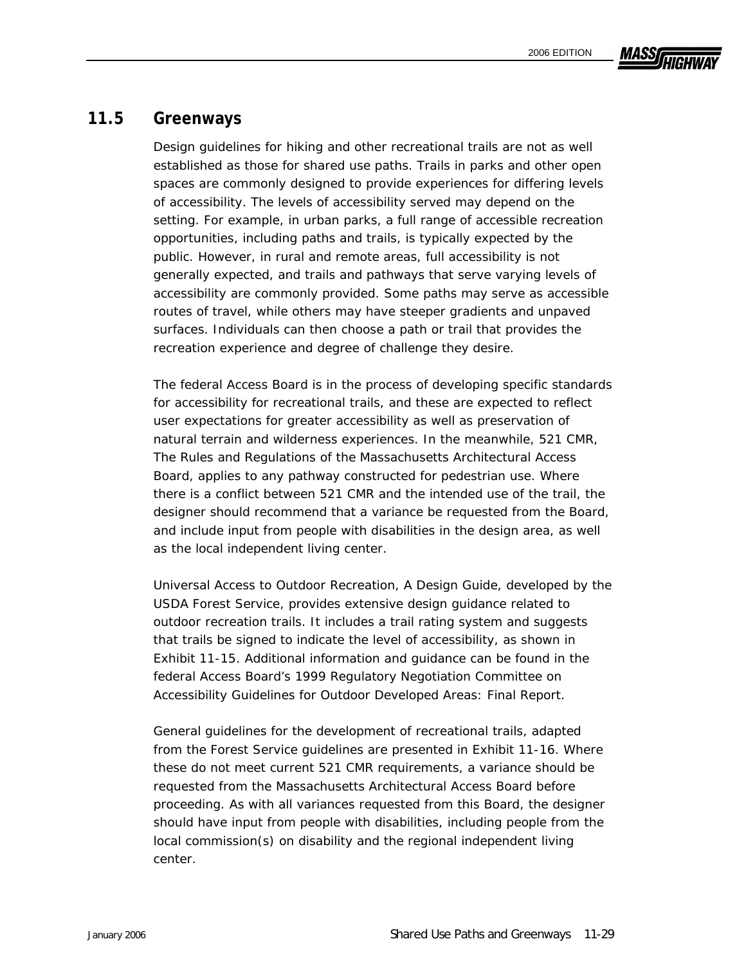# **MASSA**

# **11.5 Greenways**

Design guidelines for hiking and other recreational trails are not as well established as those for shared use paths. Trails in parks and other open spaces are commonly designed to provide experiences for differing levels of accessibility. The levels of accessibility served may depend on the setting. For example, in urban parks, a full range of accessible recreation opportunities, including paths and trails, is typically expected by the public. However, in rural and remote areas, full accessibility is not generally expected, and trails and pathways that serve varying levels of accessibility are commonly provided. Some paths may serve as accessible routes of travel, while others may have steeper gradients and unpaved surfaces. Individuals can then choose a path or trail that provides the recreation experience and degree of challenge they desire.

The federal Access Board is in the process of developing specific standards for accessibility for recreational trails, and these are expected to reflect user expectations for greater accessibility as well as preservation of natural terrain and wilderness experiences. In the meanwhile, 521 CMR, *The Rules and Regulations of the Massachusetts Architectural Access Board*, applies to any pathway constructed for pedestrian use. Where there is a conflict between 521 CMR and the intended use of the trail, the designer should recommend that a variance be requested from the Board, and include input from people with disabilities in the design area, as well as the local independent living center.

*Universal Access to Outdoor Recreation*, *A Design Guide*, developed by the USDA Forest Service, provides extensive design guidance related to outdoor recreation trails. It includes a trail rating system and suggests that trails be signed to indicate the level of accessibility, as shown in Exhibit 11-15. Additional information and guidance can be found in the federal Access Board's 1999 Regulatory Negotiation Committee on Accessibility Guidelines for Outdoor Developed Areas: Final Report.

General guidelines for the development of recreational trails, adapted from the Forest Service guidelines are presented in Exhibit 11-16. Where these do not meet current 521 CMR requirements, a variance should be requested from the Massachusetts Architectural Access Board before proceeding. As with all variances requested from this Board, the designer should have input from people with disabilities, including people from the local commission(s) on disability and the regional independent living center.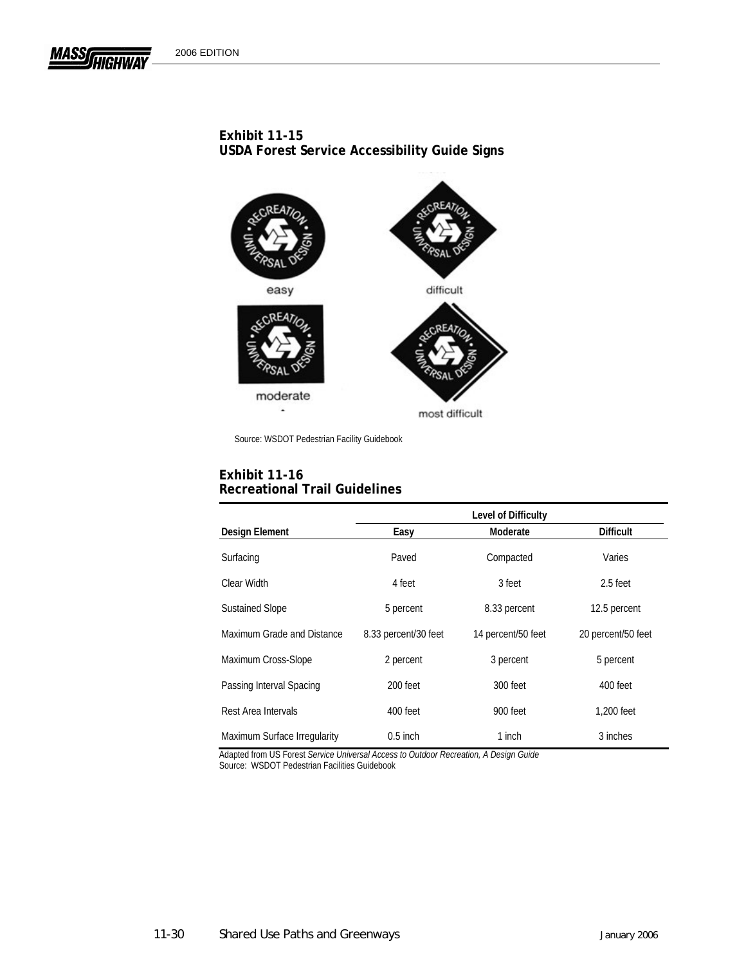**MASS** 

### **Exhibit 11-15 USDA Forest Service Accessibility Guide Signs**



Source: WSDOT Pedestrian Facility Guidebook

#### **Exhibit 11-16 Recreational Trail Guidelines**

|                              | Level of Difficulty  |                    |                    |
|------------------------------|----------------------|--------------------|--------------------|
| <b>Design Element</b>        | Easy                 | Moderate           | <b>Difficult</b>   |
| Surfacing                    | Paved                | Compacted          | Varies             |
| Clear Width                  | 4 feet               | 3 feet             | 2.5 feet           |
| <b>Sustained Slope</b>       | 5 percent            | 8.33 percent       | 12.5 percent       |
| Maximum Grade and Distance   | 8.33 percent/30 feet | 14 percent/50 feet | 20 percent/50 feet |
| Maximum Cross-Slope          | 2 percent            | 3 percent          | 5 percent          |
| Passing Interval Spacing     | 200 feet             | 300 feet           | 400 feet           |
| Rest Area Intervals          | 400 feet             | 900 feet           | 1.200 feet         |
| Maximum Surface Irregularity | $0.5$ inch           | 1 inch             | 3 inches           |

Adapted from US Forest *Service Universal Access to Outdoor Recreation, A Design Guide* 

Source: WSDOT Pedestrian Facilities Guidebook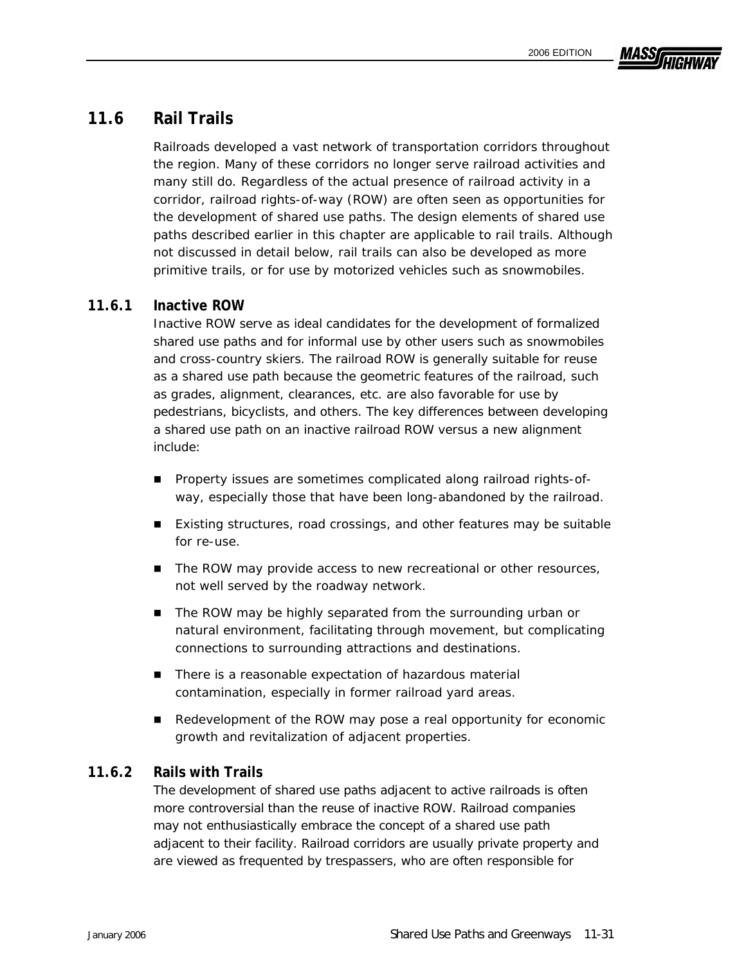

## **11.6 Rail Trails**

Railroads developed a vast network of transportation corridors throughout the region. Many of these corridors no longer serve railroad activities and many still do. Regardless of the actual presence of railroad activity in a corridor, railroad rights-of-way (ROW) are often seen as opportunities for the development of shared use paths. The design elements of shared use paths described earlier in this chapter are applicable to rail trails. Although not discussed in detail below, rail trails can also be developed as more primitive trails, or for use by motorized vehicles such as snowmobiles.

## **11.6.1 Inactive ROW**

Inactive ROW serve as ideal candidates for the development of formalized shared use paths and for informal use by other users such as snowmobiles and cross-country skiers. The railroad ROW is generally suitable for reuse as a shared use path because the geometric features of the railroad, such as grades, alignment, clearances, etc. are also favorable for use by pedestrians, bicyclists, and others. The key differences between developing a shared use path on an inactive railroad ROW versus a new alignment include:

- **Property issues are sometimes complicated along railroad rights-of**way, especially those that have been long-abandoned by the railroad.
- Existing structures, road crossings, and other features may be suitable for re-use.
- The ROW may provide access to new recreational or other resources, not well served by the roadway network.
- The ROW may be highly separated from the surrounding urban or natural environment, facilitating through movement, but complicating connections to surrounding attractions and destinations.
- There is a reasonable expectation of hazardous material contamination, especially in former railroad yard areas.
- Redevelopment of the ROW may pose a real opportunity for economic growth and revitalization of adjacent properties.

## **11.6.2 Rails with Trails**

The development of shared use paths adjacent to active railroads is often more controversial than the reuse of inactive ROW. Railroad companies may not enthusiastically embrace the concept of a shared use path adjacent to their facility. Railroad corridors are usually private property and are viewed as frequented by trespassers, who are often responsible for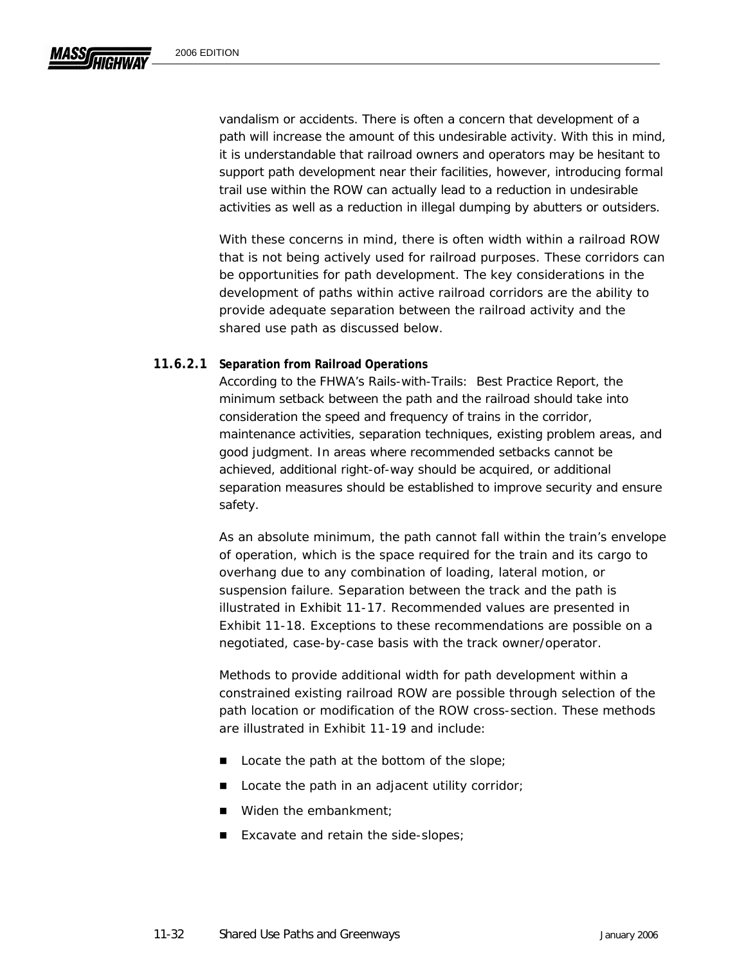vandalism or accidents. There is often a concern that development of a path will increase the amount of this undesirable activity. With this in mind, it is understandable that railroad owners and operators may be hesitant to support path development near their facilities, however, introducing formal trail use within the ROW can actually lead to a reduction in undesirable activities as well as a reduction in illegal dumping by abutters or outsiders.

With these concerns in mind, there is often width within a railroad ROW that is not being actively used for railroad purposes. These corridors can be opportunities for path development. The key considerations in the development of paths within active railroad corridors are the ability to provide adequate separation between the railroad activity and the shared use path as discussed below.

#### **11.6.2.1 Separation from Railroad Operations**

According to the FHWA's *Rails-with-Trails: Best Practice Report*, the minimum setback between the path and the railroad should take into consideration the speed and frequency of trains in the corridor, maintenance activities, separation techniques, existing problem areas, and good judgment. In areas where recommended setbacks cannot be achieved, additional right-of-way should be acquired, or additional separation measures should be established to improve security and ensure safety.

As an absolute minimum, the path cannot fall within the train's envelope of operation, which is the space required for the train and its cargo to overhang due to any combination of loading, lateral motion, or suspension failure. Separation between the track and the path is illustrated in Exhibit 11-17. Recommended values are presented in Exhibit 11-18. Exceptions to these recommendations are possible on a negotiated, case-by-case basis with the track owner/operator.

Methods to provide additional width for path development within a constrained existing railroad ROW are possible through selection of the path location or modification of the ROW cross-section. These methods are illustrated in Exhibit 11-19 and include:

- $\blacksquare$  Locate the path at the bottom of the slope;
- Locate the path in an adjacent utility corridor;
- Widen the embankment;
- Excavate and retain the side-slopes;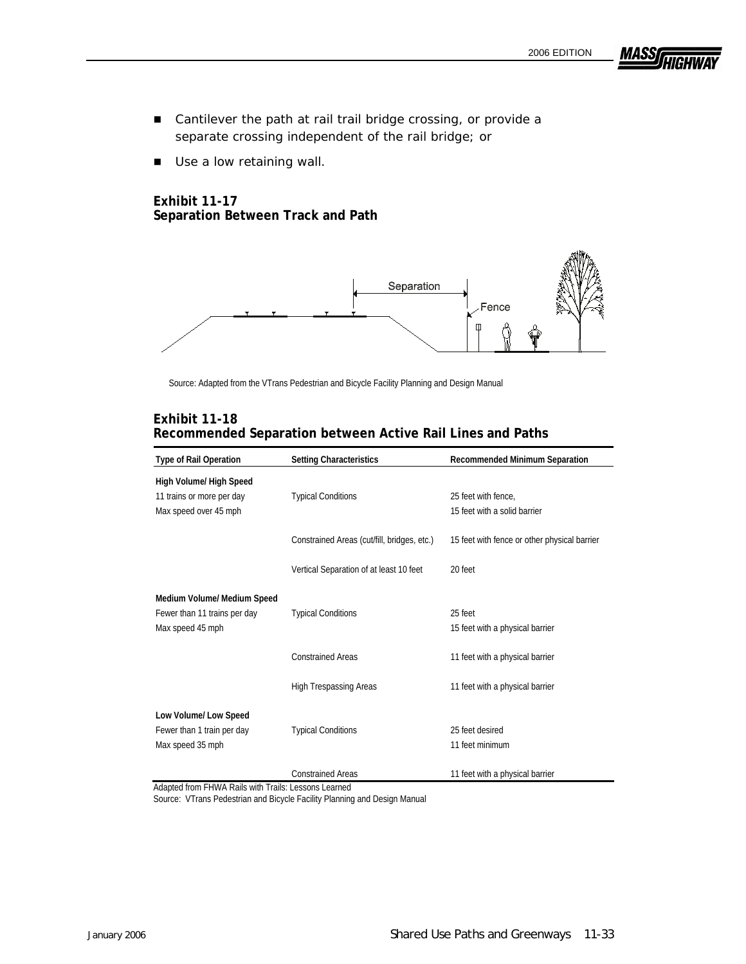**MASS** 

- Cantilever the path at rail trail bridge crossing, or provide a separate crossing independent of the rail bridge; or
- Use a low retaining wall.

#### **Exhibit 11-17 Separation Between Track and Path**



Source: Adapted from the VTrans Pedestrian and Bicycle Facility Planning and Design Manual

| <b>Type of Rail Operation</b> | <b>Setting Characteristics</b>              | <b>Recommended Minimum Separation</b>        |
|-------------------------------|---------------------------------------------|----------------------------------------------|
| High Volume/ High Speed       |                                             |                                              |
| 11 trains or more per day     | <b>Typical Conditions</b>                   | 25 feet with fence,                          |
| Max speed over 45 mph         |                                             | 15 feet with a solid barrier                 |
|                               | Constrained Areas (cut/fill, bridges, etc.) | 15 feet with fence or other physical barrier |
|                               |                                             |                                              |
|                               | Vertical Separation of at least 10 feet     | 20 feet                                      |
|                               |                                             |                                              |
| Medium Volume/ Medium Speed   |                                             |                                              |
| Fewer than 11 trains per day  | <b>Typical Conditions</b>                   | 25 feet                                      |
| Max speed 45 mph              |                                             | 15 feet with a physical barrier              |
|                               | <b>Constrained Areas</b>                    | 11 feet with a physical barrier              |
|                               |                                             |                                              |
|                               | <b>High Trespassing Areas</b>               | 11 feet with a physical barrier              |
|                               |                                             |                                              |
| Low Volume/ Low Speed         |                                             |                                              |
| Fewer than 1 train per day    | <b>Typical Conditions</b>                   | 25 feet desired                              |
| Max speed 35 mph              |                                             | 11 feet minimum                              |
|                               |                                             |                                              |
|                               | <b>Constrained Areas</b>                    | 11 feet with a physical barrier              |

#### **Exhibit 11-18 Recommended Separation between Active Rail Lines and Paths**

Adapted from FHWA Rails with Trails: Lessons Learned

Source: VTrans Pedestrian and Bicycle Facility Planning and Design Manual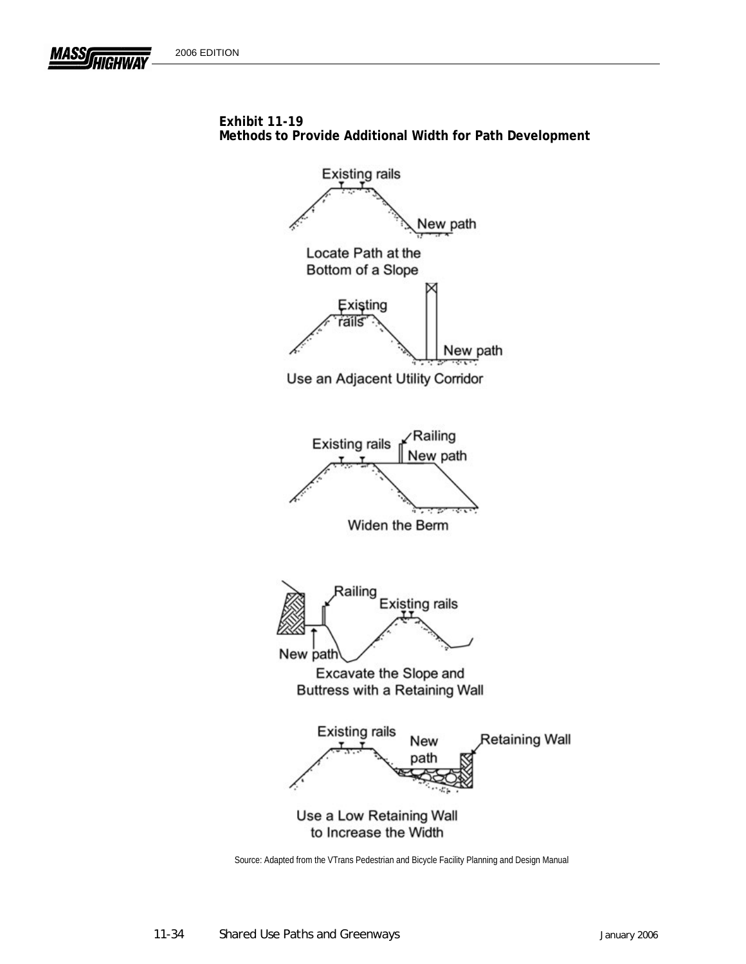**MASS** 





Source: Adapted from the VTrans Pedestrian and Bicycle Facility Planning and Design Manual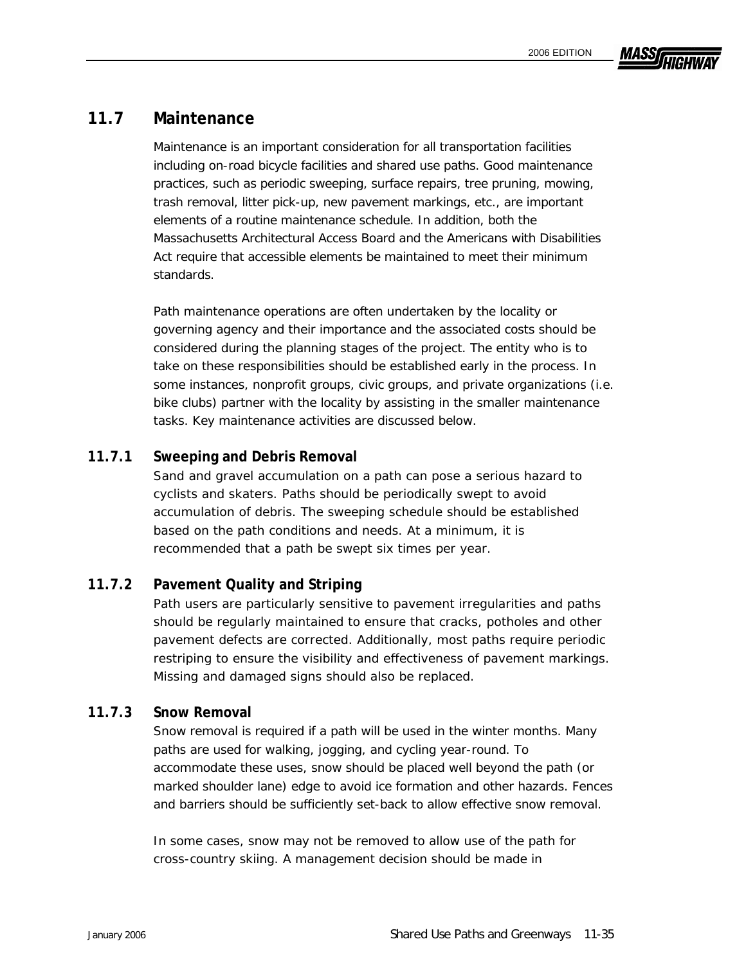# MASSI

## **11.7 Maintenance**

Maintenance is an important consideration for all transportation facilities including on-road bicycle facilities and shared use paths. Good maintenance practices, such as periodic sweeping, surface repairs, tree pruning, mowing, trash removal, litter pick-up, new pavement markings, etc., are important elements of a routine maintenance schedule. In addition, both the Massachusetts Architectural Access Board and the Americans with Disabilities Act require that accessible elements be maintained to meet their minimum standards.

Path maintenance operations are often undertaken by the locality or governing agency and their importance and the associated costs should be considered during the planning stages of the project. The entity who is to take on these responsibilities should be established early in the process. In some instances, nonprofit groups, civic groups, and private organizations (i.e. bike clubs) partner with the locality by assisting in the smaller maintenance tasks. Key maintenance activities are discussed below.

## **11.7.1 Sweeping and Debris Removal**

Sand and gravel accumulation on a path can pose a serious hazard to cyclists and skaters. Paths should be periodically swept to avoid accumulation of debris. The sweeping schedule should be established based on the path conditions and needs. At a minimum, it is recommended that a path be swept six times per year.

## **11.7.2 Pavement Quality and Striping**

Path users are particularly sensitive to pavement irregularities and paths should be regularly maintained to ensure that cracks, potholes and other pavement defects are corrected. Additionally, most paths require periodic restriping to ensure the visibility and effectiveness of pavement markings. Missing and damaged signs should also be replaced.

## **11.7.3 Snow Removal**

Snow removal is required if a path will be used in the winter months. Many paths are used for walking, jogging, and cycling year-round. To accommodate these uses, snow should be placed well beyond the path (or marked shoulder lane) edge to avoid ice formation and other hazards. Fences and barriers should be sufficiently set-back to allow effective snow removal.

In some cases, snow may not be removed to allow use of the path for cross-country skiing. A management decision should be made in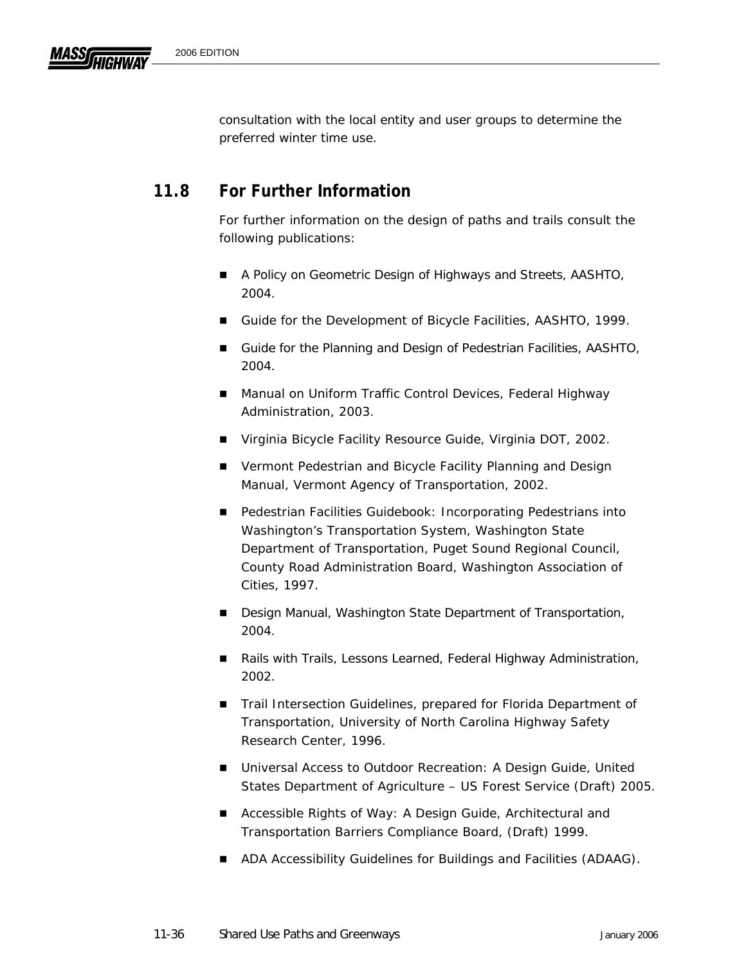consultation with the local entity and user groups to determine the preferred winter time use.

# **11.8 For Further Information**

For further information on the design of paths and trails consult the following publications:

- *A Policy on Geometric Design of Highways and Streets*, AASHTO, 2004.
- *Guide for the Development of Bicycle Facilities*, AASHTO, 1999.
- *Guide for the Planning and Design of Pedestrian Facilities,* AASHTO, 2004.
- *Manual on Uniform Traffic Control Devices*, Federal Highway Administration, 2003.
- *Virginia Bicycle Facility Resource Guide*, Virginia DOT, 2002.
- *Vermont Pedestrian and Bicycle Facility Planning and Design Manual*, Vermont Agency of Transportation, 2002.
- *Pedestrian Facilities Guidebook: Incorporating Pedestrians into Washington's Transportation System*, Washington State Department of Transportation, Puget Sound Regional Council, County Road Administration Board, Washington Association of Cities, 1997.
- *Design Manual*, Washington State Department of Transportation, 2004.
- *Rails with Trails, Lessons Learned*, Federal Highway Administration, 2002.
- *Trail Intersection Guidelines*, prepared for Florida Department of Transportation, University of North Carolina Highway Safety Research Center, 1996.
- Universal *Access to Outdoor Recreation: A Design Guide*, United States Department of Agriculture – US Forest Service (Draft) 2005.
- Accessible Rights of Way: A Design Guide, Architectural and Transportation Barriers Compliance Board, (Draft) 1999.
- ADA Accessibility Guidelines for Buildings and Facilities (ADAAG).